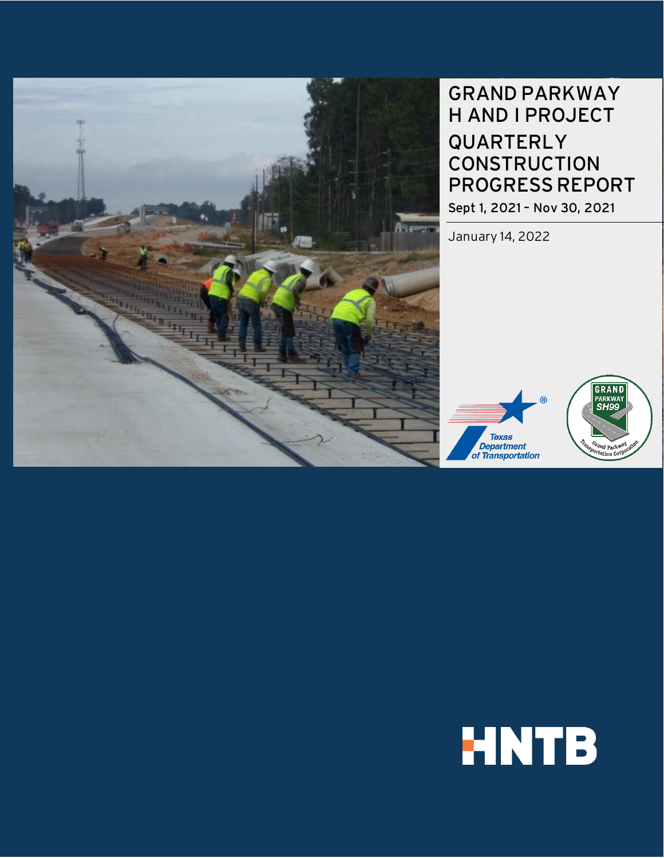

# GRAND PARKWAY H AND I PROJECT QUARTERLY **CONSTRUCTION** PROGRESSREPORT

Sept 1, 2021 – Nov 30, 2021

January 14, 2022



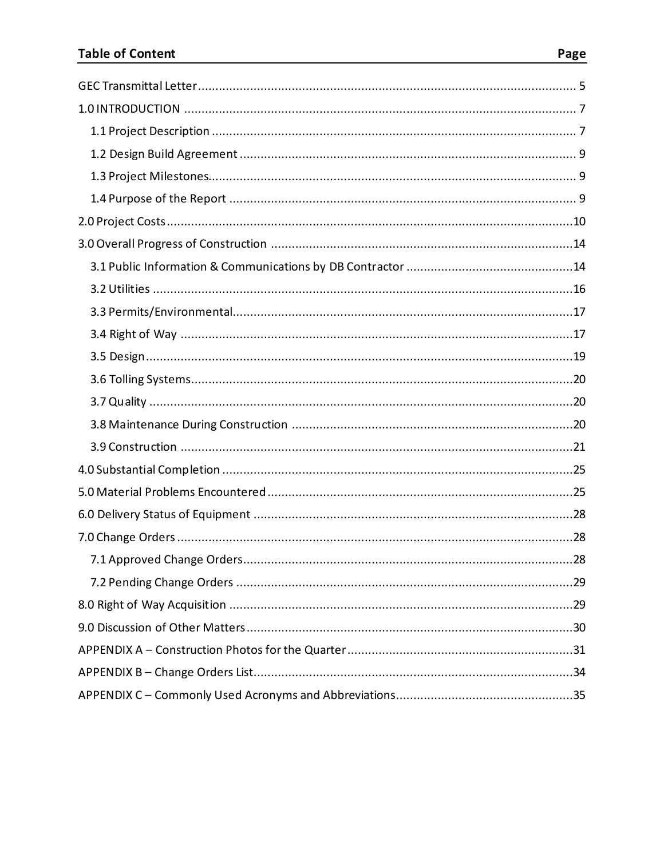#### **Table of Content**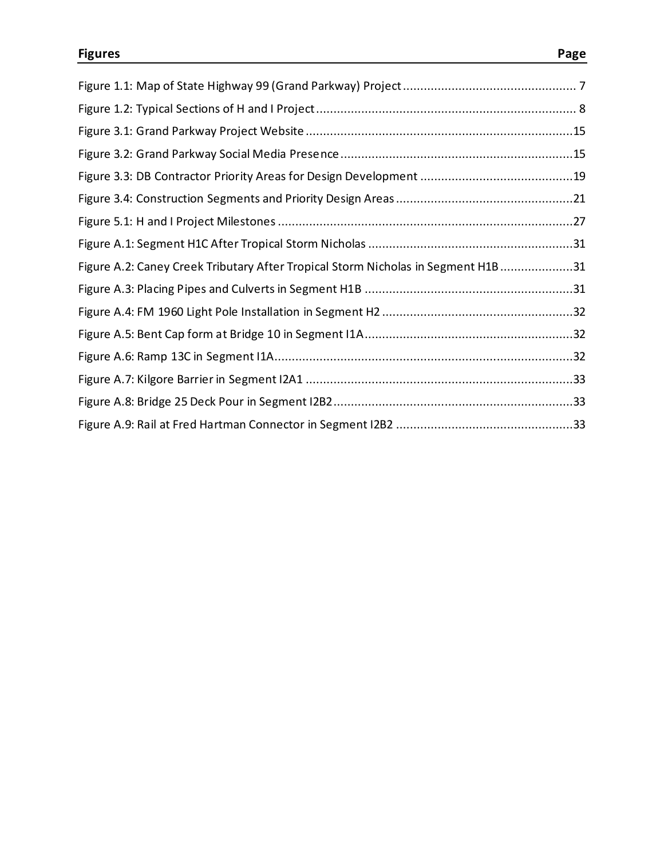| Figure A.2: Caney Creek Tributary After Tropical Storm Nicholas in Segment H1B 31 |  |
|-----------------------------------------------------------------------------------|--|
|                                                                                   |  |
|                                                                                   |  |
|                                                                                   |  |
|                                                                                   |  |
|                                                                                   |  |
|                                                                                   |  |
|                                                                                   |  |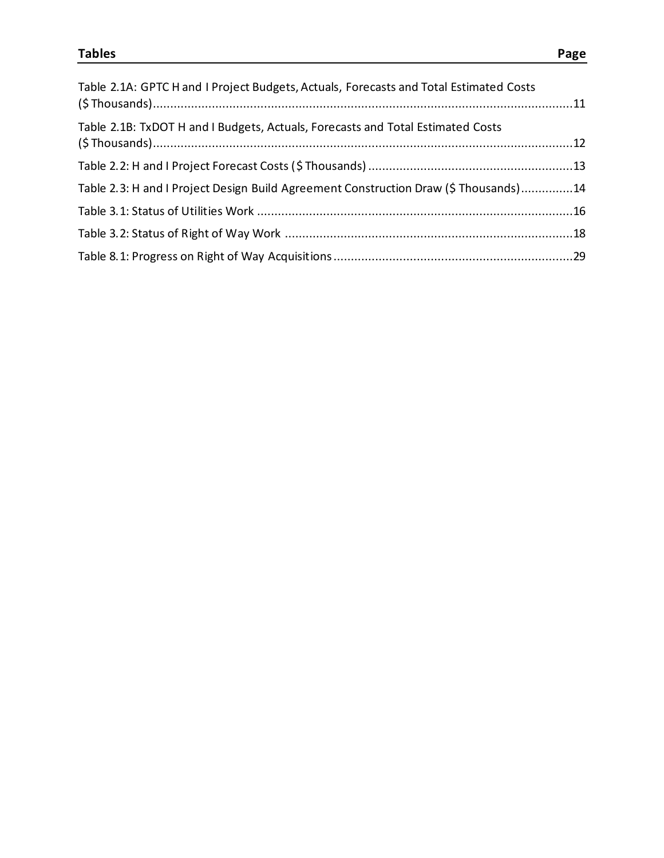| Table 2.1A: GPTC H and I Project Budgets, Actuals, Forecasts and Total Estimated Costs |  |
|----------------------------------------------------------------------------------------|--|
| Table 2.1B: TxDOT H and I Budgets, Actuals, Forecasts and Total Estimated Costs        |  |
|                                                                                        |  |
| Table 2.3: H and I Project Design Build Agreement Construction Draw (\$ Thousands)14   |  |
|                                                                                        |  |
|                                                                                        |  |
|                                                                                        |  |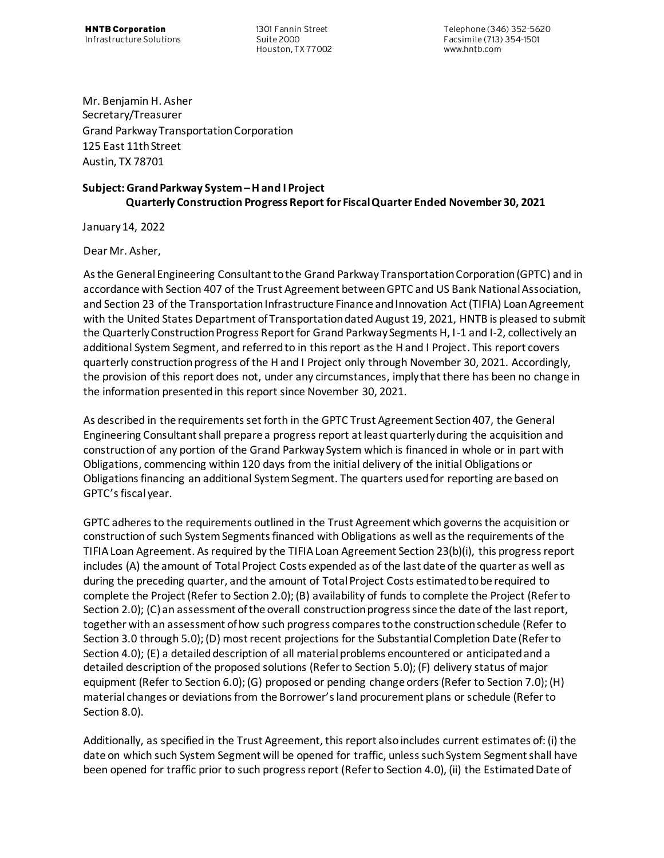<span id="page-4-0"></span>Houston, TX 77002

**HNTB Corporation** 1301 Fannin Street Telephone (346) 352-5620 Infrastructure Solutions Suite 2000 Facsimile (713) 354-1501

Mr. Benjamin H. Asher Secretary/Treasurer Grand Parkway Transportation Corporation 125 East 11th Street Austin, TX 78701

#### **Subject: Grand Parkway System –H and I Project Quarterly Construction Progress Report for Fiscal Quarter Ended November 30, 2021**

January 14, 2022

Dear Mr. Asher,

As the General Engineering Consultant to the Grand Parkway Transportation Corporation (GPTC) and in accordance with Section 407 of the Trust Agreement between GPTC and US Bank National Association, and Section 23 of the Transportation Infrastructure Finance and Innovation Act (TIFIA) Loan Agreement with the United States Department of Transportation dated August 19, 2021, HNTB is pleased to submit the Quarterly Construction Progress Report for Grand Parkway Segments H, I-1 and I-2, collectively an additional System Segment, and referred to in this report as the H and I Project. This report covers quarterly construction progress of the H and I Project only through November 30, 2021. Accordingly, the provision of this report does not, under any circumstances, imply that there has been no change in the information presented in this report since November 30, 2021.

As described in the requirements set forth in the GPTC Trust Agreement Section 407, the General Engineering Consultant shall prepare a progress report at least quarterly during the acquisition and construction of any portion of the Grand Parkway System which is financed in whole or in part with Obligations, commencing within 120 days from the initial delivery of the initial Obligations or Obligations financing an additional System Segment. The quarters used for reporting are based on GPTC's fiscal year.

GPTC adheres to the requirements outlined in the Trust Agreement which governs the acquisition or construction of such System Segments financed with Obligations as well as the requirements of the TIFIA Loan Agreement. As required by the TIFIA Loan Agreement Section 23(b)(i), this progress report includes (A) the amount of Total Project Costs expended as of the last date of the quarter as well as during the preceding quarter, and the amount of Total Project Costs estimated to be required to complete the Project (Refer to Section 2.0); (B) availability of funds to complete the Project (Refer to Section 2.0); (C) an assessment of the overall construction progress since the date of the last report, together with an assessment of how such progress compares to the construction schedule (Refer to Section 3.0 through 5.0); (D) most recent projections for the Substantial Completion Date (Refer to Section 4.0); (E) a detailed description of all material problems encountered or anticipated and a detailed description of the proposed solutions (Refer to Section 5.0); (F) delivery status of major equipment (Refer to Section 6.0); (G) proposed or pending change orders (Refer to Section 7.0); (H) material changes or deviations from the Borrower's land procurement plans or schedule (Refer to Section 8.0).

Additionally, as specified in the Trust Agreement, this report also includes current estimates of: (i) the date on which such System Segment will be opened for traffic, unless such System Segment shall have been opened for traffic prior to such progress report (Refer to Section 4.0), (ii) the Estimated Date of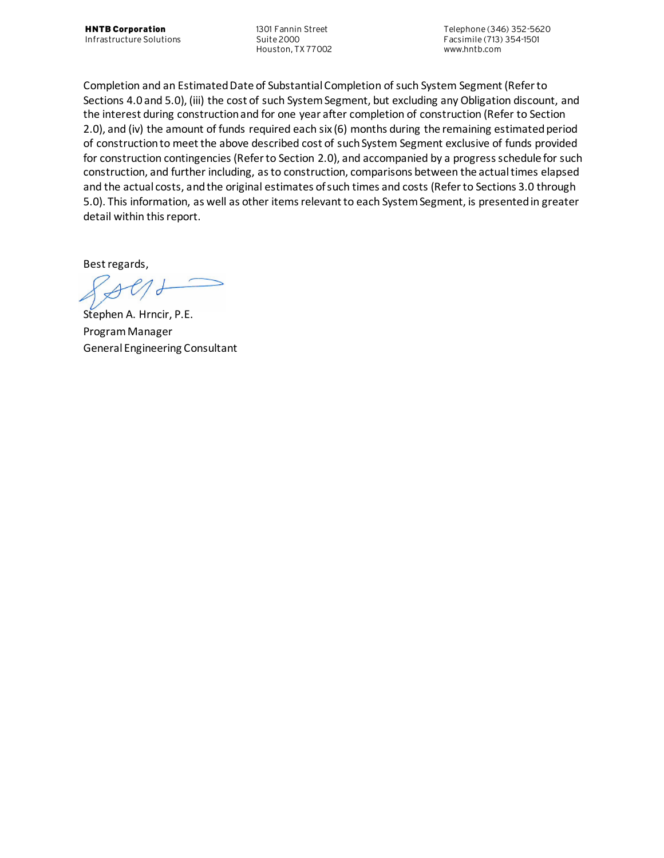Houston, TX 77002

**HNTB Corporation** 1301 Fannin Street Telephone (346) 352-5620 Infrastructure Solutions Suite 2000 Facsimile (713) 354-1501

Completion and an Estimated Date of Substantial Completion of such System Segment (Refer to Sections 4.0 and 5.0), (iii) the cost of such System Segment, but excluding any Obligation discount, and the interest during construction and for one year after completion of construction (Refer to Section 2.0), and (iv) the amount of funds required each six (6) months during the remaining estimated period of construction to meet the above described cost of such System Segment exclusive of funds provided for construction contingencies (Refer to Section 2.0), and accompanied by a progress schedule for such construction, and further including, as to construction, comparisons between the actual times elapsed and the actual costs, and the original estimates of such times and costs (Refer to Sections 3.0 through 5.0). This information, as well as other items relevant to each System Segment, is presented in greater detail within this report.

Best regards,

 $\overline{d}$ 

Stephen A. Hrncir, P.E. Program Manager General Engineering Consultant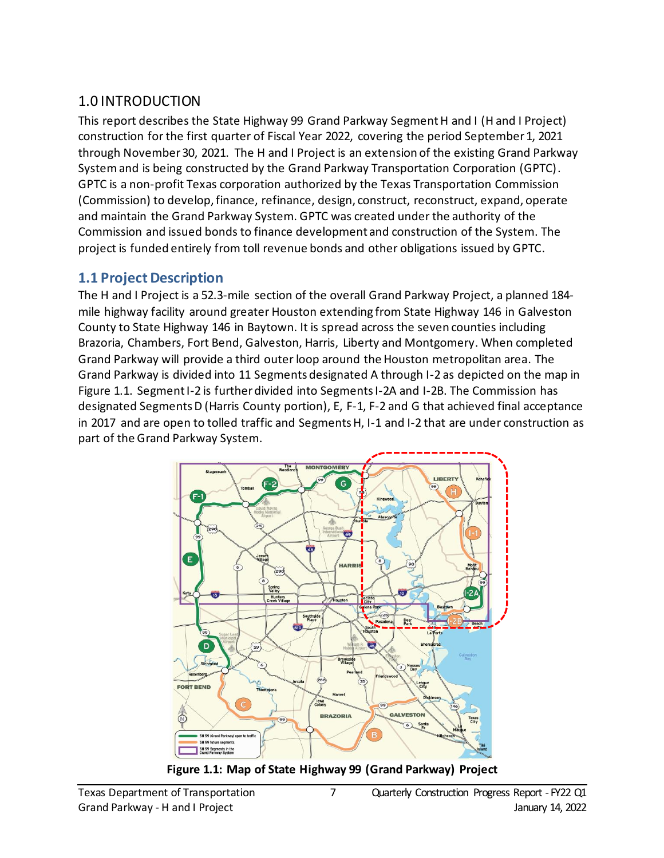## <span id="page-6-0"></span>1.0 INTRODUCTION

This report describes the State Highway 99 Grand Parkway Segment H and I (H and I Project) construction for the first quarter of Fiscal Year 2022, covering the period September 1, 2021 through November 30, 2021. The H and I Project is an extension of the existing Grand Parkway Systemand is being constructed by the Grand Parkway Transportation Corporation (GPTC). GPTC is a non-profit Texas corporation authorized by the Texas Transportation Commission (Commission) to develop, finance, refinance, design, construct, reconstruct, expand, operate and maintain the Grand Parkway System. GPTC was created under the authority of the Commission and issued bonds to finance development and construction of the System. The project is funded entirely from toll revenue bonds and other obligations issued by GPTC.

### <span id="page-6-1"></span>**1.1 Project Description**

The H and I Project is a 52.3-mile section of the overall Grand Parkway Project, a planned 184 mile highway facility around greater Houston extending from State Highway 146 in Galveston County to State Highway 146 in Baytown. It is spread across the seven counties including Brazoria, Chambers, Fort Bend, Galveston, Harris, Liberty and Montgomery. When completed Grand Parkway will provide a third outer loop around the Houston metropolitan area. The Grand Parkway is divided into 11 Segments designated A through I-2 as depicted on the map in Figure 1.1. Segment I-2 is further divided into Segments I-2A and I-2B. The Commission has designated Segments D (Harris County portion), E, F-1, F-2 and G that achieved final acceptance in 2017 and are open to tolled traffic and Segments H, I-1 and I-2 that are under construction as part of the Grand Parkway System.



<span id="page-6-2"></span>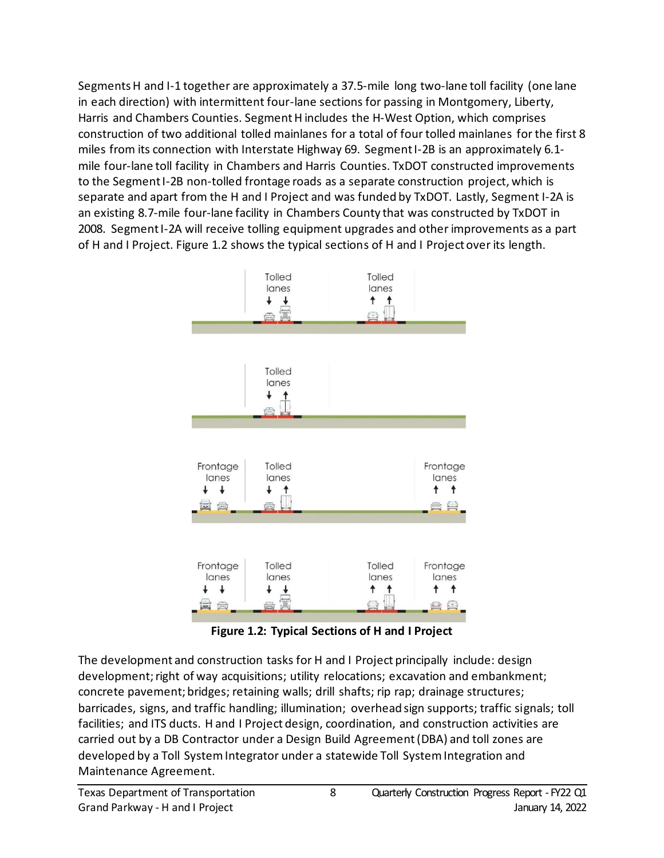Segments H and I-1 together are approximately a 37.5-mile long two-lane toll facility (one lane in each direction) with intermittent four-lane sections for passing in Montgomery, Liberty, Harris and Chambers Counties. Segment H includes the H-West Option, which comprises construction of two additional tolled mainlanes for a total of four tolled mainlanes for the first 8 miles from its connection with Interstate Highway 69. Segment I-2B is an approximately 6.1 mile four-lane toll facility in Chambers and Harris Counties. TxDOT constructed improvements to the Segment I-2B non-tolled frontage roads as a separate construction project, which is separate and apart from the H and I Project and was funded by TxDOT. Lastly, Segment I-2A is an existing 8.7-mile four-lane facility in Chambers County that was constructed by TxDOT in 2008. Segment I-2A will receive tolling equipment upgrades and other improvements as a part of H and I Project. Figure 1.2 shows the typical sections of H and I Project over its length.



**Figure 1.2: Typical Sections of H and I Project**

<span id="page-7-0"></span>The development and construction tasks for H and I Project principally include: design development; right of way acquisitions; utility relocations; excavation and embankment; concrete pavement; bridges; retaining walls; drill shafts; rip rap; drainage structures; barricades, signs, and traffic handling; illumination; overhead sign supports; traffic signals; toll facilities; and ITS ducts. H and I Project design, coordination, and construction activities are carried out by a DB Contractor under a Design Build Agreement(DBA) and toll zones are developed by a Toll SystemIntegrator under a statewide Toll System Integration and Maintenance Agreement.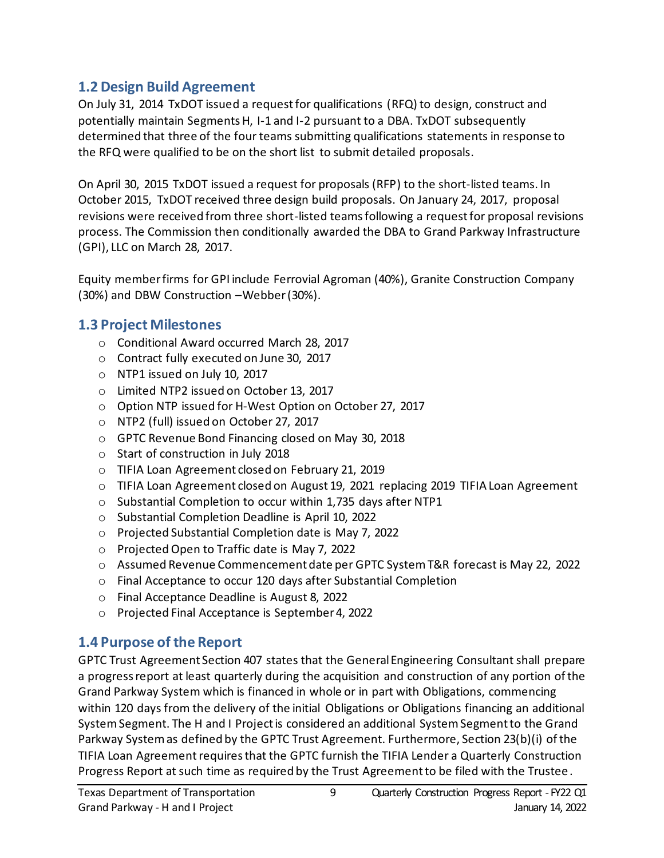### <span id="page-8-0"></span>**1.2 Design Build Agreement**

On July 31, 2014 TxDOT issued a request for qualifications (RFQ) to design, construct and potentially maintain Segments H, I-1 and I-2 pursuant to a DBA. TxDOT subsequently determined that three of the four teams submitting qualifications statements in response to the RFQ were qualified to be on the short list to submit detailed proposals.

On April 30, 2015 TxDOT issued a request for proposals (RFP) to the short-listed teams. In October 2015, TxDOT received three design build proposals. On January 24, 2017, proposal revisions were received from three short-listed teams following a request for proposal revisions process. The Commission then conditionally awarded the DBA to Grand Parkway Infrastructure (GPI), LLC on March 28, 2017.

Equity member firms for GPI include Ferrovial Agroman (40%), Granite Construction Company (30%) and DBW Construction –Webber (30%).

#### <span id="page-8-1"></span>**1.3 Project Milestones**

- o Conditional Award occurred March 28, 2017
- o Contract fully executed on June 30, 2017
- o NTP1 issued on July 10, 2017
- o Limited NTP2 issued on October 13, 2017
- o Option NTP issued for H-West Option on October 27, 2017
- o NTP2 (full) issued on October 27, 2017
- o GPTC Revenue Bond Financing closed on May 30, 2018
- o Start of construction in July 2018
- o TIFIA Loan Agreement closed on February 21, 2019
- $\circ$  TIFIA Loan Agreement closed on August 19, 2021 replacing 2019 TIFIA Loan Agreement
- o Substantial Completion to occur within 1,735 days after NTP1
- o Substantial Completion Deadline is April 10, 2022
- o Projected Substantial Completion date is May 7, 2022
- o ProjectedOpen to Traffic date is May 7, 2022
- o Assumed Revenue Commencement date per GPTC System T&R forecast is May 22, 2022
- o Final Acceptance to occur 120 days after Substantial Completion
- o Final Acceptance Deadline is August 8, 2022
- o Projected Final Acceptance is September 4, 2022

### <span id="page-8-2"></span>**1.4 Purpose of the Report**

GPTC Trust Agreement Section 407 states that the General Engineering Consultant shall prepare a progress report at least quarterly during the acquisition and construction of any portion of the Grand Parkway System which is financed in whole or in part with Obligations, commencing within 120 days from the delivery of the initial Obligations or Obligations financing an additional System Segment. The H and I Project is considered an additional System Segment to the Grand Parkway System as defined by the GPTC Trust Agreement. Furthermore, Section 23(b)(i) ofthe TIFIA Loan Agreement requires that the GPTC furnish the TIFIA Lender a Quarterly Construction Progress Report at such time as required by the Trust Agreement to be filed with the Trustee.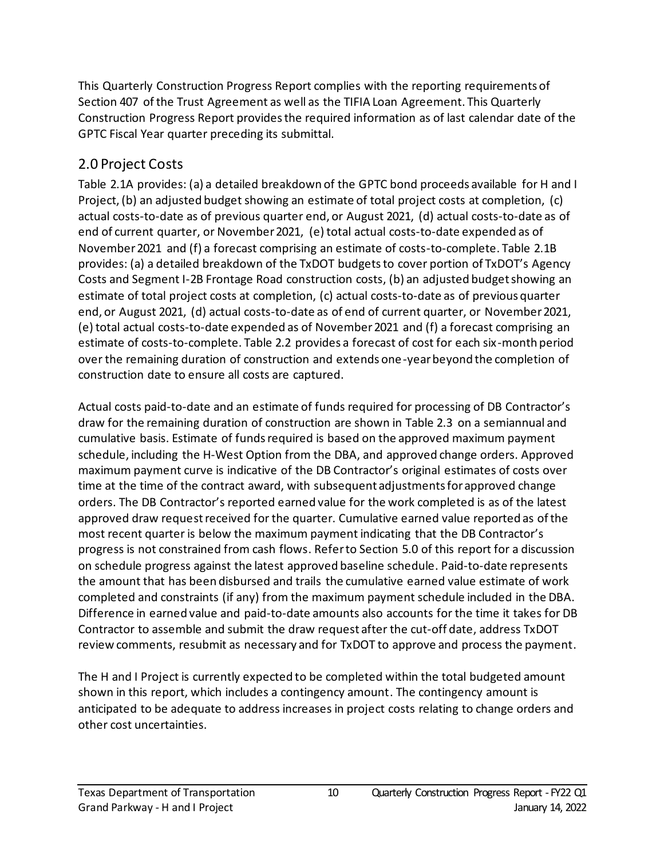This Quarterly Construction Progress Report complies with the reporting requirements of Section 407 of the Trust Agreement as well as the TIFIA Loan Agreement. This Quarterly Construction Progress Report provides the required information as of last calendar date of the GPTC Fiscal Year quarter preceding its submittal.

## <span id="page-9-0"></span>2.0 Project Costs

Table 2.1A provides: (a) a detailed breakdown of the GPTC bond proceeds available for H and I Project, (b) an adjusted budget showing an estimate of total project costs at completion, (c) actual costs-to-date as of previous quarter end, or August 2021, (d) actual costs-to-date as of end of current quarter, or November 2021, (e) total actual costs-to-date expended as of November 2021 and (f) a forecast comprising an estimate of costs-to-complete. Table 2.1B provides: (a) a detailed breakdown of the TxDOT budgets to cover portion of TxDOT's Agency Costs and Segment I-2B Frontage Road construction costs, (b) an adjusted budget showing an estimate of total project costs at completion, (c) actual costs-to-date as of previous quarter end, or August 2021, (d) actual costs-to-date as of end of current quarter, or November 2021, (e) total actual costs-to-date expended as of November 2021 and (f) a forecast comprising an estimate of costs-to-complete. Table 2.2 provides a forecast of cost for each six-month period over the remaining duration of construction and extends one-year beyond the completion of construction date to ensure all costs are captured.

Actual costs paid-to-date and an estimate of funds required for processing of DB Contractor's draw for the remaining duration of construction are shown in Table 2.3 on a semiannual and cumulative basis. Estimate of funds required is based on the approved maximum payment schedule, including the H-West Option from the DBA, and approved change orders. Approved maximum payment curve is indicative of the DB Contractor's original estimates of costs over time at the time of the contract award, with subsequent adjustments for approved change orders. The DB Contractor's reported earned value for the work completed is as of the latest approved draw request received for the quarter. Cumulative earned value reported as of the most recent quarter is below the maximum payment indicating that the DB Contractor's progress is not constrained from cash flows. Refer to Section 5.0 of this report for a discussion on schedule progress against the latest approved baseline schedule. Paid-to-date represents the amount that has been disbursed and trails the cumulative earned value estimate of work completed and constraints (if any) from the maximum payment schedule included in the DBA. Difference in earned value and paid-to-date amounts also accounts for the time it takes for DB Contractor to assemble and submit the draw request after the cut-off date, address TxDOT review comments, resubmit as necessary and for TxDOT to approve and process the payment.

The H and I Project is currently expected to be completed within the total budgeted amount shown in this report, which includes a contingency amount. The contingency amount is anticipated to be adequate to address increases in project costs relating to change orders and other cost uncertainties.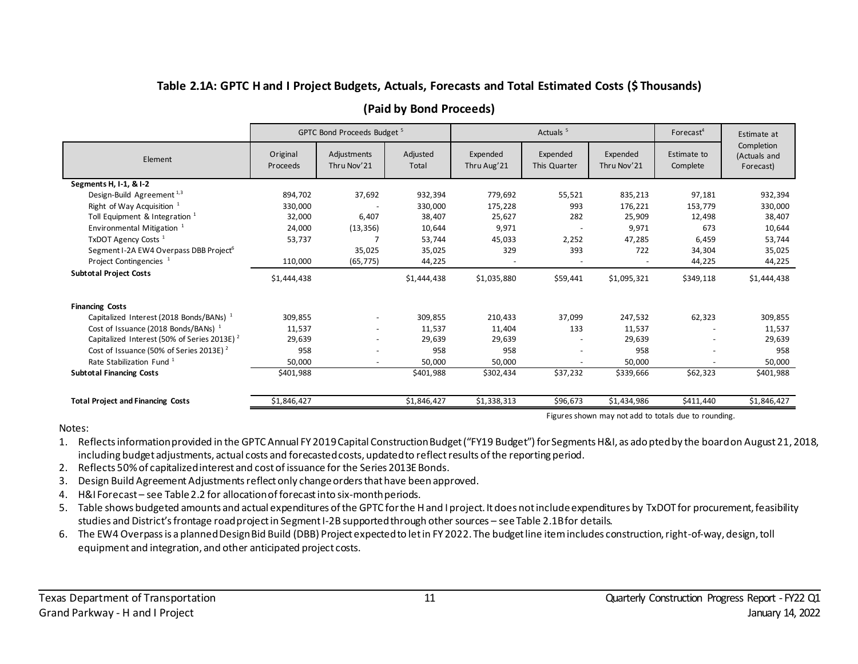#### **Table 2.1A: GPTC H and I Project Budgets, Actuals, Forecasts and Total Estimated Costs (\$ Thousands)**

|                                                         | GPTC Bond Proceeds Budget <sup>5</sup><br>Actuals <sup>5</sup> |                            |                   | Forecast <sup>4</sup>   | Estimate at              |                         |                         |                                         |
|---------------------------------------------------------|----------------------------------------------------------------|----------------------------|-------------------|-------------------------|--------------------------|-------------------------|-------------------------|-----------------------------------------|
| Element                                                 | Original<br>Proceeds                                           | Adjustments<br>Thru Nov'21 | Adjusted<br>Total | Expended<br>Thru Aug'21 | Expended<br>This Quarter | Expended<br>Thru Nov'21 | Estimate to<br>Complete | Completion<br>(Actuals and<br>Forecast) |
| Segments H, I-1, & I-2                                  |                                                                |                            |                   |                         |                          |                         |                         |                                         |
| Design-Build Agreement <sup>1,3</sup>                   | 894,702                                                        | 37,692                     | 932,394           | 779,692                 | 55,521                   | 835,213                 | 97,181                  | 932,394                                 |
| Right of Way Acquisition $1$                            | 330,000                                                        |                            | 330,000           | 175,228                 | 993                      | 176,221                 | 153,779                 | 330,000                                 |
| Toll Equipment & Integration $1$                        | 32,000                                                         | 6,407                      | 38,407            | 25,627                  | 282                      | 25,909                  | 12,498                  | 38,407                                  |
| Environmental Mitigation <sup>1</sup>                   | 24,000                                                         | (13, 356)                  | 10,644            | 9,971                   |                          | 9,971                   | 673                     | 10,644                                  |
| TxDOT Agency Costs <sup>1</sup>                         | 53,737                                                         |                            | 53,744            | 45,033                  | 2,252                    | 47,285                  | 6,459                   | 53,744                                  |
| Segment I-2A EW4 Overpass DBB Project <sup>6</sup>      |                                                                | 35,025                     | 35,025            | 329                     | 393                      | 722                     | 34,304                  | 35,025                                  |
| Project Contingencies <sup>1</sup>                      | 110,000                                                        | (65, 775)                  | 44,225            |                         |                          |                         | 44,225                  | 44,225                                  |
| <b>Subtotal Project Costs</b>                           | \$1,444,438                                                    |                            | \$1,444,438       | \$1,035,880             | \$59,441                 | \$1,095,321             | \$349,118               | \$1,444,438                             |
| <b>Financing Costs</b>                                  |                                                                |                            |                   |                         |                          |                         |                         |                                         |
| Capitalized Interest (2018 Bonds/BANs) <sup>1</sup>     | 309,855                                                        |                            | 309,855           | 210,433                 | 37,099                   | 247,532                 | 62,323                  | 309,855                                 |
| Cost of Issuance (2018 Bonds/BANs) <sup>1</sup>         | 11,537                                                         |                            | 11,537            | 11,404                  | 133                      | 11,537                  |                         | 11,537                                  |
| Capitalized Interest (50% of Series 2013E) <sup>2</sup> | 29,639                                                         |                            | 29,639            | 29,639                  |                          | 29,639                  |                         | 29,639                                  |
| Cost of Issuance (50% of Series 2013E) <sup>2</sup>     | 958                                                            |                            | 958               | 958                     |                          | 958                     |                         | 958                                     |
| Rate Stabilization Fund <sup>1</sup>                    | 50,000                                                         |                            | 50,000            | 50,000                  |                          | 50,000                  |                         | 50,000                                  |
| <b>Subtotal Financing Costs</b>                         | \$401,988                                                      |                            | \$401,988         | \$302,434               | \$37,232                 | \$339,666               | \$62,323                | \$401,988                               |
| <b>Total Project and Financing Costs</b>                | \$1,846,427                                                    |                            | \$1,846,427       | \$1,338,313             | \$96,673                 | \$1,434,986             | \$411,440               | \$1,846,427                             |

#### **(Paid by Bond Proceeds)**

Figures shown may not add to totals due to rounding.

#### <span id="page-10-0"></span>Notes:

- 1. Reflects information provided in the GPTC Annual FY 2019 Capital Construction Budget ("FY19 Budget") for Segments H&I, as adopted by the board on August 21, 2018, including budget adjustments, actual costs and forecasted costs, updated to reflect results of the reporting period.
- 2. Reflects 50% of capitalized interest and cost of issuance for the Series 2013E Bonds.
- 3. Design Build Agreement Adjustments reflect only change orders that have been approved.
- 4. H&I Forecast see Table 2.2 for allocation of forecast into six-monthperiods.
- 5. Table shows budgeted amounts and actual expenditures of the GPTC for the H and I project. It does not include expenditures by TxDOT for procurement, feasibility studies and District's frontage road project in Segment I-2B supported through other sources – see Table 2.1B for details.
- 6. The EW4 Overpass is a planned Design Bid Build (DBB) Project expected to let in FY 2022. The budget line item includes construction, right-of-way, design, toll equipment and integration, and other anticipated project costs.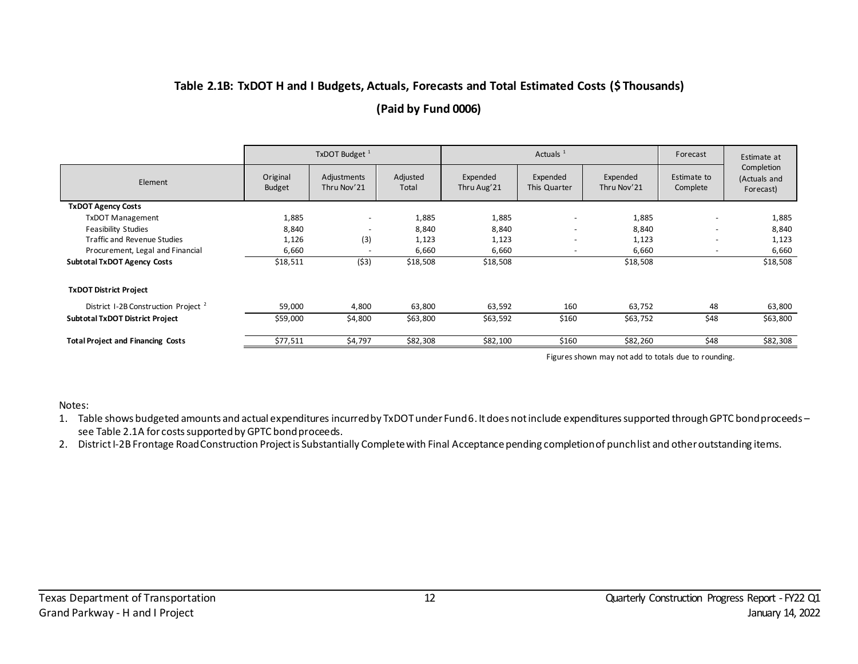### **Table 2.1B: TxDOT H and I Budgets, Actuals, Forecasts and Total Estimated Costs (\$ Thousands) (Paid by Fund 0006)**

|                                                 | Actuals $1$<br>TxDOT Budget <sup>1</sup> |                            |                   |                         | Forecast                 | Estimate at             |                          |                                         |
|-------------------------------------------------|------------------------------------------|----------------------------|-------------------|-------------------------|--------------------------|-------------------------|--------------------------|-----------------------------------------|
| Element                                         | Original<br><b>Budget</b>                | Adjustments<br>Thru Nov'21 | Adjusted<br>Total | Expended<br>Thru Aug'21 | Expended<br>This Quarter | Expended<br>Thru Nov'21 | Estimate to<br>Complete  | Completion<br>(Actuals and<br>Forecast) |
| <b>TxDOT Agency Costs</b>                       |                                          |                            |                   |                         |                          |                         |                          |                                         |
| <b>TxDOT Management</b>                         | 1,885                                    | $\overline{\phantom{a}}$   | 1,885             | 1,885                   | ٠                        | 1,885                   | $\overline{\phantom{a}}$ | 1,885                                   |
| <b>Feasibility Studies</b>                      | 8,840                                    | $\overline{\phantom{a}}$   | 8,840             | 8,840                   |                          | 8,840                   | $\overline{\phantom{a}}$ | 8,840                                   |
| <b>Traffic and Revenue Studies</b>              | 1,126                                    | (3)                        | 1,123             | 1,123                   |                          | 1,123                   | $\overline{\phantom{a}}$ | 1,123                                   |
| Procurement, Legal and Financial                | 6,660                                    | $\overline{\phantom{a}}$   | 6,660             | 6,660                   |                          | 6,660                   | $\overline{\phantom{a}}$ | 6,660                                   |
| <b>Subtotal TxDOT Agency Costs</b>              | \$18,511                                 | (53)                       | \$18,508          | \$18,508                |                          | \$18,508                |                          | \$18,508                                |
| <b>TxDOT District Project</b>                   |                                          |                            |                   |                         |                          |                         |                          |                                         |
| District I-2B Construction Project <sup>2</sup> | 59,000                                   | 4,800                      | 63,800            | 63,592                  | 160                      | 63,752                  | 48                       | 63,800                                  |
| <b>Subtotal TxDOT District Project</b>          | \$59,000                                 | \$4,800                    | \$63,800          | \$63,592                | \$160                    | \$63,752                | \$48                     | \$63,800                                |
| <b>Total Project and Financing Costs</b>        | \$77,511                                 | \$4,797                    | \$82,308          | \$82,100                | \$160                    | \$82,260                | \$48                     | \$82,308                                |

Figures shown may not add to totals due to rounding.

<span id="page-11-0"></span>Notes:

1. Table shows budgeted amounts and actual expenditures incurred by TxDOT under Fund 6. It does not include expenditures supported through GPTC bond proceeds – see Table 2.1A for costs supported by GPTC bond proceeds.

2. District I-2B Frontage Road Construction Project is Substantially Complete with Final Acceptance pending completion of punch list and other outstanding items.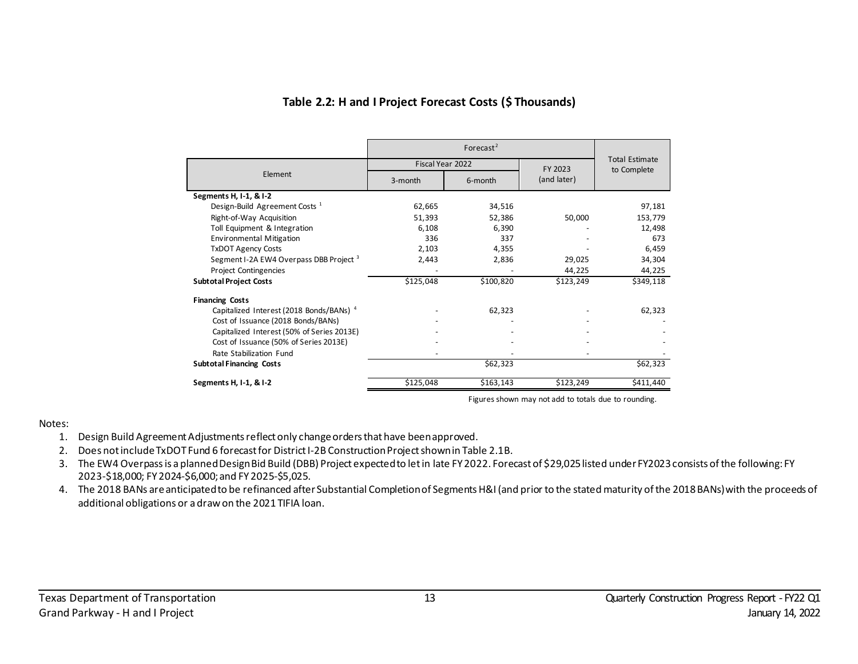|                                                     | Fiscal Year 2022   |           | FY 2023     | <b>Total Estimate</b> |  |
|-----------------------------------------------------|--------------------|-----------|-------------|-----------------------|--|
| Element                                             | 6-month<br>3-month |           | (and later) | to Complete           |  |
| Segments H, I-1, & I-2                              |                    |           |             |                       |  |
| Design-Build Agreement Costs <sup>1</sup>           | 62,665             | 34,516    |             | 97,181                |  |
| Right-of-Way Acquisition                            | 51,393             | 52,386    | 50,000      | 153,779               |  |
| Toll Equipment & Integration                        | 6,108              | 6.390     |             | 12,498                |  |
| <b>Environmental Mitigation</b>                     | 336                | 337       |             | 673                   |  |
| <b>TxDOT Agency Costs</b>                           | 2,103              | 4,355     |             | 6,459                 |  |
| Segment I-2A EW4 Overpass DBB Project <sup>3</sup>  | 2,443              | 2,836     | 29,025      | 34,304                |  |
| <b>Project Contingencies</b>                        |                    |           | 44,225      | 44,225                |  |
| <b>Subtotal Project Costs</b>                       | \$125,048          | \$100,820 | \$123,249   | \$349,118             |  |
| <b>Financing Costs</b>                              |                    |           |             |                       |  |
| Capitalized Interest (2018 Bonds/BANs) <sup>4</sup> |                    | 62,323    |             | 62,323                |  |
| Cost of Issuance (2018 Bonds/BANs)                  |                    |           |             |                       |  |
| Capitalized Interest (50% of Series 2013E)          |                    |           |             |                       |  |
| Cost of Issuance (50% of Series 2013E)              |                    |           |             |                       |  |
| Rate Stabilization Fund                             |                    |           |             |                       |  |
| <b>Subtotal Financing Costs</b>                     |                    | \$62,323  |             | \$62,323              |  |
| Segments H, I-1, & I-2                              | \$125,048          | \$163,143 | \$123,249   | \$411,440             |  |

#### **Table 2.2: H and I Project Forecast Costs (\$ Thousands)**

Figures shown may not add to totals due to rounding.

#### <span id="page-12-0"></span>Notes:

- 1. Design Build Agreement Adjustments reflect only change orders that have been approved.
- 2. Does not include TxDOT Fund 6 forecast for District I-2B Construction Project shown in Table 2.1B.
- 3. The EW4 Overpass is a planned Design Bid Build (DBB) Project expected to let in late FY 2022. Forecast of \$29,025 listed under FY2023consists of the following: FY 2023-\$18,000; FY 2024-\$6,000; and FY 2025-\$5,025.
- 4. The 2018 BANs are anticipated to be refinanced after Substantial Completion of Segments H&I (and prior to the stated maturity of the 2018 BANs) with the proceeds of additional obligations or a draw on the 2021 TIFIA loan.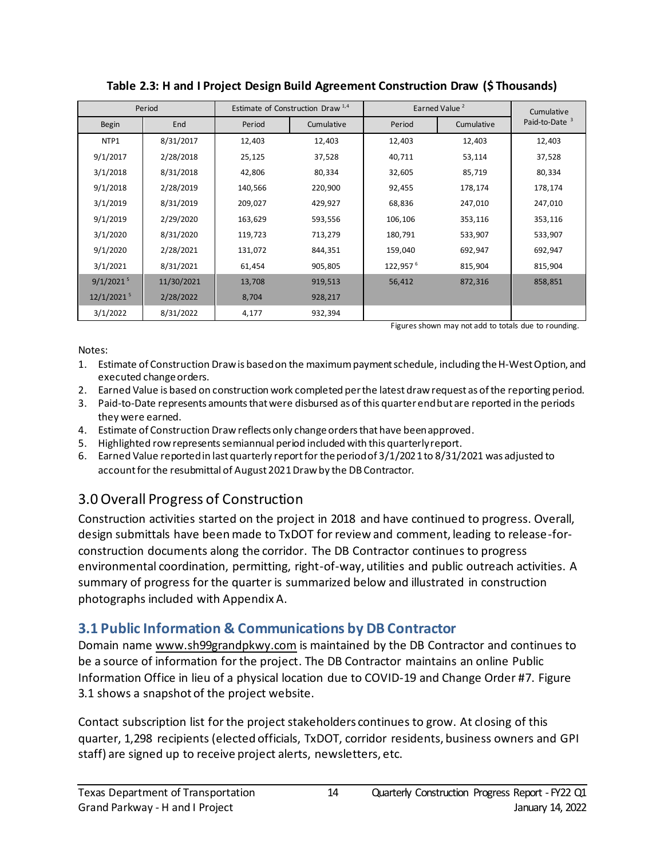<span id="page-13-2"></span>

|                        | Period     |         | Estimate of Construction Draw <sup>1,4</sup> | Earned Value <sup>2</sup> |            | Cumulative                |
|------------------------|------------|---------|----------------------------------------------|---------------------------|------------|---------------------------|
| Begin                  | End        | Period  | Cumulative                                   | Period                    | Cumulative | Paid-to-Date <sup>3</sup> |
| NTP1                   | 8/31/2017  | 12,403  | 12,403                                       | 12,403                    | 12,403     | 12,403                    |
| 9/1/2017               | 2/28/2018  | 25,125  | 37,528                                       | 40,711                    | 53,114     | 37,528                    |
| 3/1/2018               | 8/31/2018  | 42,806  | 80,334                                       | 32,605                    | 85,719     | 80,334                    |
| 9/1/2018               | 2/28/2019  | 140,566 | 220,900                                      | 92,455                    | 178,174    | 178,174                   |
| 3/1/2019               | 8/31/2019  | 209,027 | 429,927                                      | 68,836                    | 247,010    | 247,010                   |
| 9/1/2019               | 2/29/2020  | 163,629 | 593,556                                      | 106,106                   | 353,116    | 353,116                   |
| 3/1/2020               | 8/31/2020  | 119,723 | 713,279                                      | 180,791                   | 533,907    | 533,907                   |
| 9/1/2020               | 2/28/2021  | 131,072 | 844,351                                      | 159,040                   | 692,947    | 692,947                   |
| 3/1/2021               | 8/31/2021  | 61,454  | 905,805                                      | $122,957$ <sup>6</sup>    | 815,904    | 815,904                   |
| $9/1/2021^{5}$         | 11/30/2021 | 13,708  | 919,513                                      | 56,412                    | 872,316    | 858,851                   |
| 12/1/2021 <sup>5</sup> | 2/28/2022  | 8,704   | 928,217                                      |                           |            |                           |
| 3/1/2022               | 8/31/2022  | 4,177   | 932,394                                      |                           |            |                           |

**Table 2.3: H and I Project Design Build Agreement Construction Draw (\$ Thousands)**

Figures shown may not add to totals due to rounding.

#### Notes:

- 1. Estimate of Construction Draw is based on the maximum payment schedule, including the H-West Option, and executed change orders.
- 2. Earned Value is based on construction work completed perthe latest draw request as of the reporting period.
- 3. Paid-to-Date represents amounts that were disbursed as of this quarterend but are reported in the periods they were earned.
- 4. Estimate of Construction Draw reflects only change orders that have been approved.
- 5. Highlighted row represents semiannual period included with this quarterly report.
- 6. Earned Value reported in last quarterly report for the period of 3/1/2021to 8/31/2021 was adjusted to account for the resubmittal of August 2021Draw by the DB Contractor.

## <span id="page-13-0"></span>3.0 Overall Progress of Construction

Construction activities started on the project in 2018 and have continued to progress. Overall, design submittals have been made to TxDOT for review and comment, leading to release-forconstruction documents along the corridor. The DB Contractor continues to progress environmental coordination, permitting, right-of-way, utilities and public outreach activities. A summary of progress for the quarter is summarized below and illustrated in construction photographs included with Appendix A.

## <span id="page-13-1"></span>**3.1 Public Information & Communications by DB Contractor**

Domain name [www.sh99grandpkwy.com](http://www.sh99grandpkwy.com/) is maintained by the DB Contractor and continues to be a source of information for the project. The DB Contractor maintains an online Public Information Office in lieu of a physical location due to COVID-19 and Change Order #7. Figure 3.1 shows a snapshot of the project website.

Contact subscription list for the project stakeholders continues to grow. At closing of this quarter, 1,298 recipients (elected officials, TxDOT, corridor residents, business owners and GPI staff) are signed up to receive project alerts, newsletters, etc.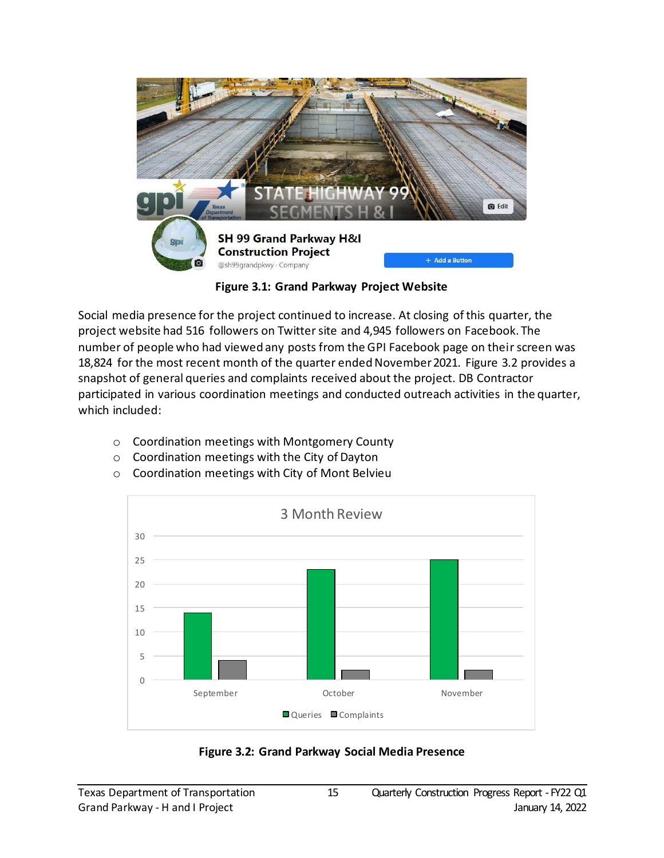

**Figure 3.1: Grand Parkway Project Website**

<span id="page-14-0"></span>Social media presence for the project continued to increase. At closing of this quarter, the project website had 516 followers on Twitter site and 4,945 followers on Facebook. The number of people who had viewed any posts from the GPI Facebook page on their screen was 18,824 for the most recent month of the quarter ended November 2021. Figure 3.2 provides a snapshot of general queries and complaints received about the project. DB Contractor participated in various coordination meetings and conducted outreach activities in the quarter, which included:

- o Coordination meetings with Montgomery County
- o Coordination meetings with the City of Dayton
- o Coordination meetings with City of Mont Belvieu



<span id="page-14-1"></span>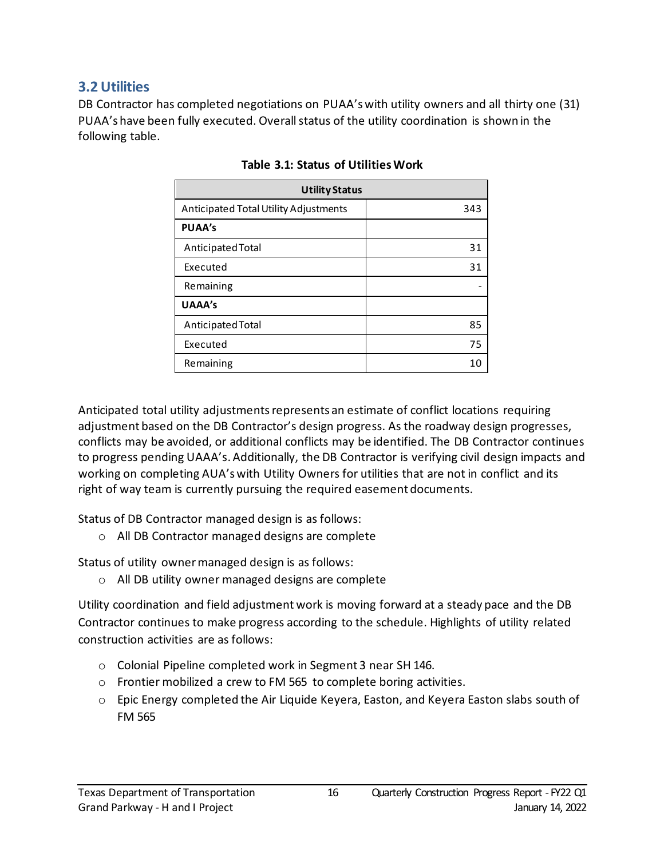#### <span id="page-15-0"></span>**3.2 Utilities**

<span id="page-15-1"></span>DB Contractor has completed negotiations on PUAA'swith utility owners and all thirty one (31) PUAA's have been fully executed. Overall status of the utility coordination is shown in the following table.

| <b>Utility Status</b>                 |     |  |  |  |  |  |
|---------------------------------------|-----|--|--|--|--|--|
| Anticipated Total Utility Adjustments | 343 |  |  |  |  |  |
| <b>PUAA's</b>                         |     |  |  |  |  |  |
| Anticipated Total                     | 31  |  |  |  |  |  |
| Executed                              | 31  |  |  |  |  |  |
| Remaining                             |     |  |  |  |  |  |
| <b>UAAA's</b>                         |     |  |  |  |  |  |
| Anticipated Total                     | 85  |  |  |  |  |  |
| Executed                              | 75  |  |  |  |  |  |
| Remaining                             |     |  |  |  |  |  |

**Table 3.1: Status of Utilities Work**

Anticipated total utility adjustments represents an estimate of conflict locations requiring adjustment based on the DB Contractor's design progress. As the roadway design progresses, conflicts may be avoided, or additional conflicts may be identified. The DB Contractor continues to progress pending UAAA's. Additionally, the DB Contractor is verifying civil design impacts and working on completing AUA's with Utility Owners for utilities that are not in conflict and its right of way team is currently pursuing the required easement documents.

Status of DB Contractor managed design is as follows:

o All DB Contractor managed designs are complete

Status of utility owner managed design is as follows:

o All DB utility owner managed designs are complete

Utility coordination and field adjustment work is moving forward at a steady pace and the DB Contractor continues to make progress according to the schedule. Highlights of utility related construction activities are as follows:

- o Colonial Pipeline completed work in Segment 3 near SH 146.
- o Frontier mobilized a crew to FM 565 to complete boring activities.
- $\circ$  Epic Energy completed the Air Liquide Keyera, Easton, and Keyera Easton slabs south of FM 565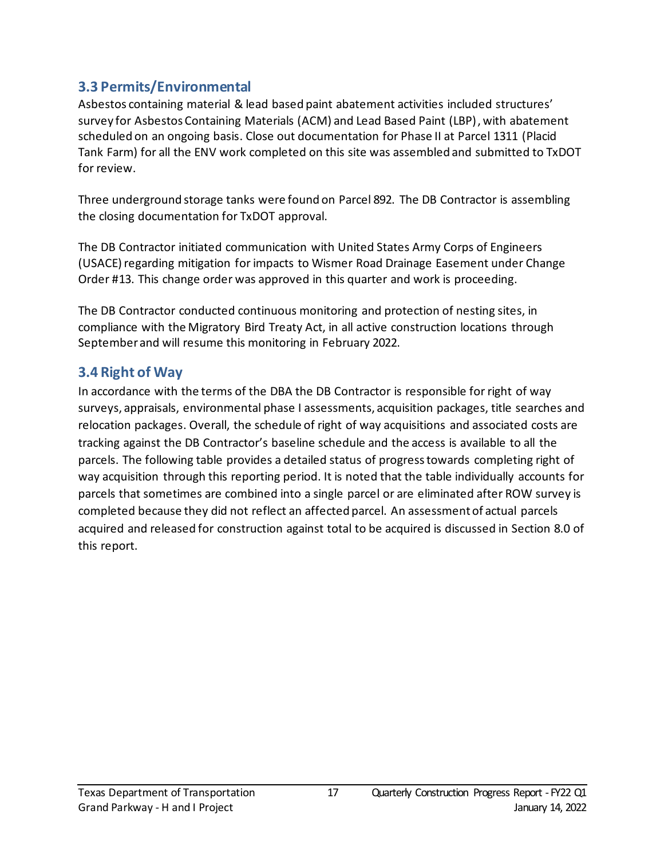#### <span id="page-16-0"></span>**3.3 Permits/Environmental**

Asbestos containing material & lead based paint abatement activities included structures' survey for Asbestos Containing Materials (ACM) and Lead Based Paint (LBP), with abatement scheduled on an ongoing basis. Close out documentation for Phase II at Parcel 1311 (Placid Tank Farm) for all the ENV work completed on this site was assembled and submitted to TxDOT for review.

Three underground storage tanks were found on Parcel 892. The DB Contractor is assembling the closing documentation for TxDOT approval.

The DB Contractor initiated communication with United States Army Corps of Engineers (USACE) regarding mitigation for impacts to Wismer Road Drainage Easement under Change Order #13. This change order was approved in this quarter and work is proceeding.

The DB Contractor conducted continuous monitoring and protection of nesting sites, in compliance with the Migratory Bird Treaty Act, in all active construction locations through September and will resume this monitoring in February 2022.

#### <span id="page-16-1"></span>**3.4 Right of Way**

In accordance with the terms of the DBA the DB Contractor is responsible for right of way surveys, appraisals, environmental phase I assessments, acquisition packages, title searches and relocation packages. Overall, the schedule of right of way acquisitions and associated costs are tracking against the DB Contractor's baseline schedule and the access is available to all the parcels. The following table provides a detailed status of progress towards completing right of way acquisition through this reporting period. It is noted that the table individually accounts for parcels that sometimes are combined into a single parcel or are eliminated after ROW survey is completed because they did not reflect an affected parcel. An assessment of actual parcels acquired and released for construction against total to be acquired is discussed in Section 8.0 of this report.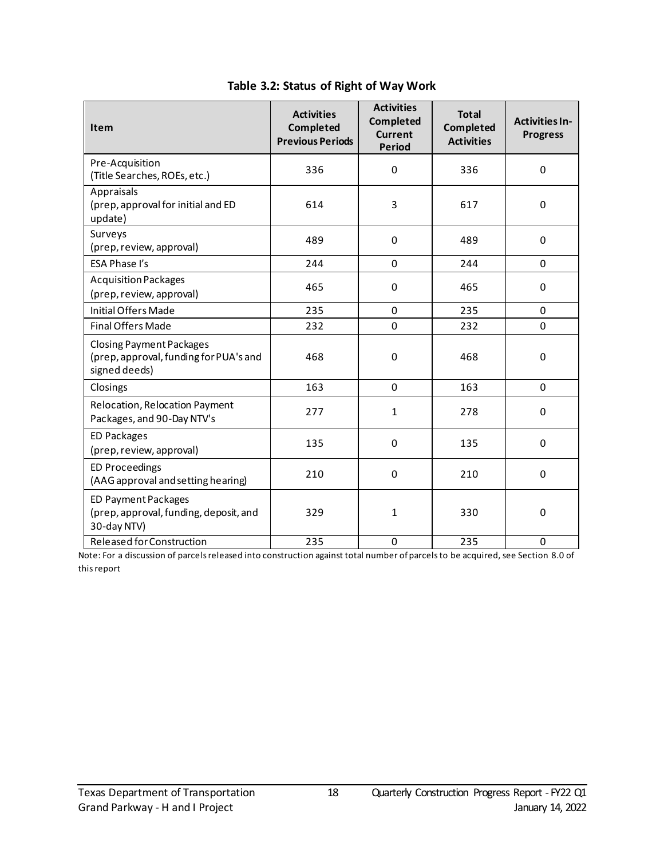<span id="page-17-0"></span>

| <b>Item</b>                                                                                | <b>Activities</b><br>Completed<br><b>Previous Periods</b> | <b>Activities</b><br>Completed<br><b>Current</b><br><b>Period</b> | <b>Total</b><br>Completed<br><b>Activities</b> | <b>Activities In-</b><br><b>Progress</b> |
|--------------------------------------------------------------------------------------------|-----------------------------------------------------------|-------------------------------------------------------------------|------------------------------------------------|------------------------------------------|
| Pre-Acquisition<br>(Title Searches, ROEs, etc.)                                            | 336                                                       | $\pmb{0}$                                                         | 336                                            | 0                                        |
| Appraisals<br>(prep, approval for initial and ED<br>update)                                | 614                                                       | 3                                                                 | 617                                            | $\Omega$                                 |
| Surveys<br>(prep, review, approval)                                                        | 489                                                       | 0                                                                 | 489                                            | 0                                        |
| ESA Phase I's                                                                              | 244                                                       | 0                                                                 | 244                                            | 0                                        |
| <b>Acquisition Packages</b><br>(prep, review, approval)                                    | 465                                                       | 0                                                                 | 465                                            | 0                                        |
| Initial Offers Made                                                                        | 235                                                       | 0                                                                 | 235                                            | 0                                        |
| <b>Final Offers Made</b>                                                                   | 232                                                       | 0                                                                 | 232                                            | 0                                        |
| <b>Closing Payment Packages</b><br>(prep, approval, funding for PUA's and<br>signed deeds) | 468                                                       | 0                                                                 | 468                                            | 0                                        |
| Closings                                                                                   | 163                                                       | 0                                                                 | 163                                            | 0                                        |
| Relocation, Relocation Payment<br>Packages, and 90-Day NTV's                               | 277                                                       | 1                                                                 | 278                                            | 0                                        |
| ED Packages<br>(prep, review, approval)                                                    | 135                                                       | 0                                                                 | 135                                            | 0                                        |
| <b>ED Proceedings</b><br>(AAG approval and setting hearing)                                | 210                                                       | $\Omega$                                                          | 210                                            | $\Omega$                                 |
| <b>ED Payment Packages</b><br>(prep, approval, funding, deposit, and<br>30-day NTV)        | 329                                                       | 1                                                                 | 330                                            | 0                                        |
| <b>Released for Construction</b>                                                           | 235                                                       | 0                                                                 | 235                                            | $\Omega$                                 |

#### **Table 3.2: Status of Right of Way Work**

Note: For a discussion of parcels released into construction against total number of parcels to be acquired, see Section 8.0 of this report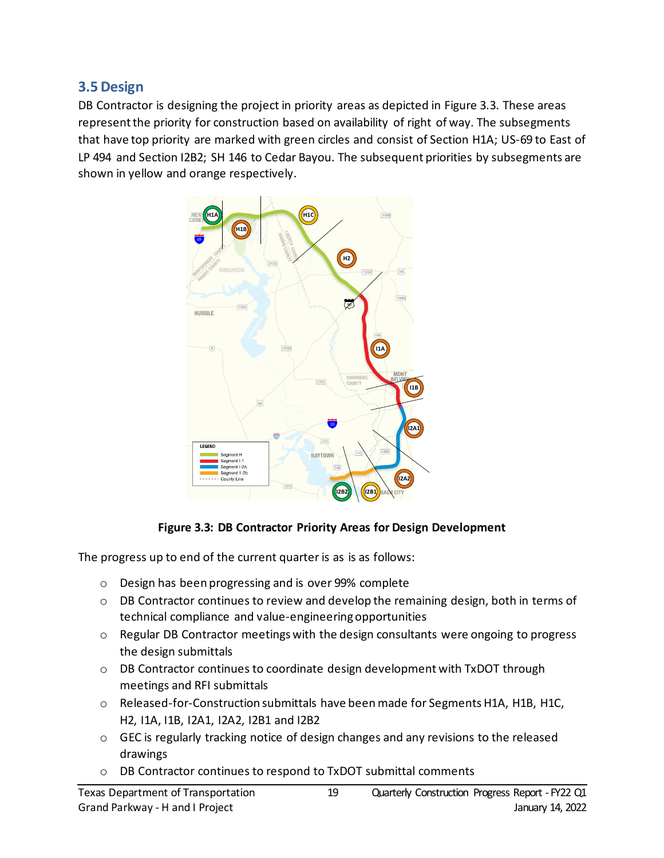#### <span id="page-18-0"></span>**3.5 Design**

DB Contractor is designing the project in priority areas as depicted in Figure 3.3. These areas represent the priority for construction based on availability of right of way. The subsegments that have top priority are marked with green circles and consist of Section H1A; US-69 to East of LP 494 and Section I2B2; SH 146 to Cedar Bayou. The subsequent priorities by subsegments are shown in yellow and orange respectively.



#### **Figure 3.3: DB Contractor Priority Areas for Design Development**

<span id="page-18-1"></span>The progress up to end of the current quarter is as is as follows:

- o Design has been progressing and is over 99% complete
- $\circ$  DB Contractor continues to review and develop the remaining design, both in terms of technical compliance and value-engineering opportunities
- $\circ$  Regular DB Contractor meetings with the design consultants were ongoing to progress the design submittals
- o DB Contractor continues to coordinate design development with TxDOT through meetings and RFI submittals
- o Released-for-Construction submittals have beenmade for SegmentsH1A, H1B, H1C, H2, I1A, I1B, I2A1, I2A2, I2B1 and I2B2
- o GEC is regularly tracking notice of design changes and any revisions to the released drawings
- o DB Contractor continues to respond to TxDOT submittal comments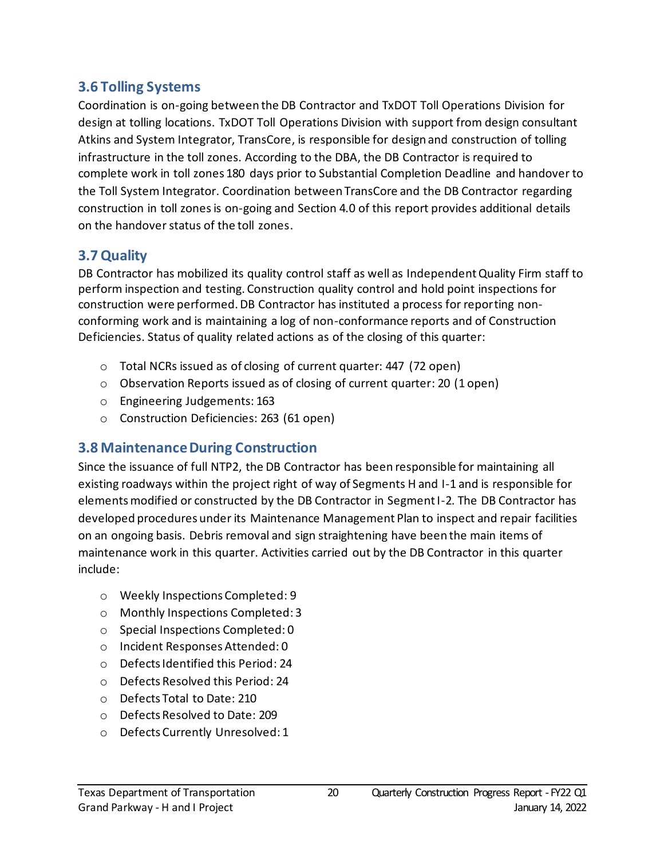#### <span id="page-19-0"></span>**3.6 Tolling Systems**

Coordination is on-going between the DB Contractor and TxDOT Toll Operations Division for design at tolling locations. TxDOT Toll Operations Division with support from design consultant Atkins and System Integrator, TransCore, is responsible for design and construction of tolling infrastructure in the toll zones. According to the DBA, the DB Contractor is required to complete work in toll zones 180 days prior to Substantial Completion Deadline and handover to the Toll System Integrator. Coordination between TransCore and the DB Contractor regarding construction in toll zonesis on-going and Section 4.0 of this report provides additional details on the handover status of the toll zones.

### <span id="page-19-1"></span>**3.7 Quality**

DB Contractor has mobilized its quality control staff as well as Independent Quality Firm staff to perform inspection and testing. Construction quality control and hold point inspections for construction were performed. DB Contractor has instituted a process for reporting nonconforming work and is maintaining a log of non-conformance reports and of Construction Deficiencies. Status of quality related actions as of the closing of this quarter:

- o Total NCRs issued as of closing of current quarter: 447 (72 open)
- o Observation Reports issued as of closing of current quarter: 20 (1 open)
- o Engineering Judgements: 163
- o Construction Deficiencies: 263 (61 open)

### <span id="page-19-2"></span>**3.8 MaintenanceDuring Construction**

Since the issuance of full NTP2, the DB Contractor has been responsible for maintaining all existing roadways within the project right of way of Segments H and I-1 and is responsible for elements modified or constructed by the DB Contractor in Segment I-2. The DB Contractor has developed procedures under its Maintenance Management Plan to inspect and repair facilities on an ongoing basis. Debris removal and sign straightening have been the main items of maintenance work in this quarter. Activities carried out by the DB Contractor in this quarter include:

- o Weekly Inspections Completed: 9
- o Monthly Inspections Completed: 3
- o Special Inspections Completed: 0
- o Incident Responses Attended: 0
- o Defects Identified this Period: 24
- o Defects Resolved this Period: 24
- o Defects Total to Date: 210
- o Defects Resolved to Date: 209
- o Defects Currently Unresolved: 1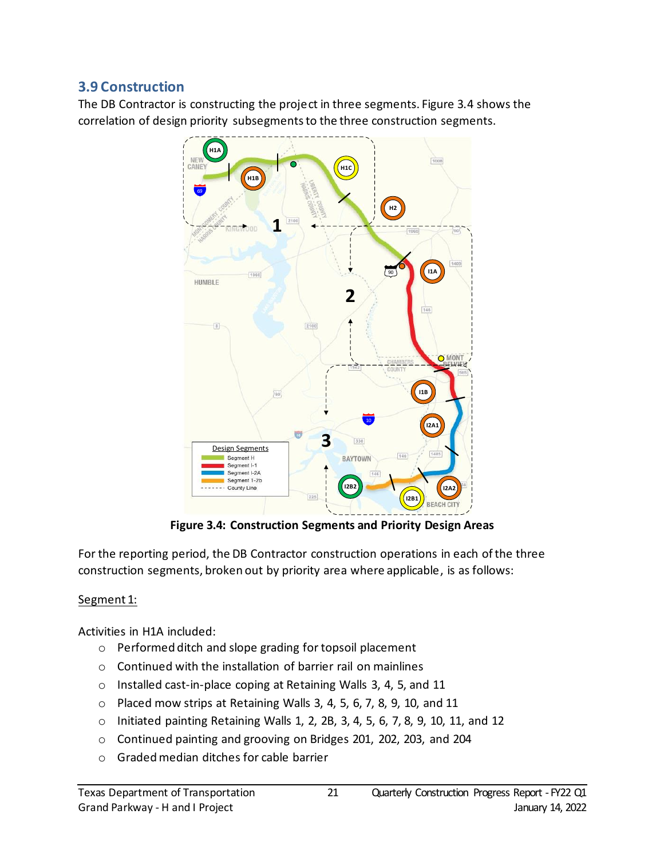### <span id="page-20-0"></span>**3.9 Construction**

The DB Contractor is constructing the project in three segments. Figure 3.4 shows the correlation of design priority subsegments to the three construction segments.



**Figure 3.4: Construction Segments and Priority Design Areas**

<span id="page-20-1"></span>For the reporting period, the DB Contractor construction operations in each of the three construction segments, broken out by priority area where applicable, is as follows:

#### Segment 1:

Activities in H1A included:

- o Performed ditch and slope grading for topsoil placement
- o Continued with the installation of barrier rail on mainlines
- o Installed cast-in-place coping at Retaining Walls 3, 4, 5, and 11
- o Placed mow strips at Retaining Walls 3, 4, 5, 6, 7, 8, 9, 10, and 11
- o Initiated painting Retaining Walls 1, 2, 2B, 3, 4, 5, 6, 7, 8, 9, 10, 11, and 12
- o Continued painting and grooving on Bridges 201, 202, 203, and 204
- o Gradedmedian ditches for cable barrier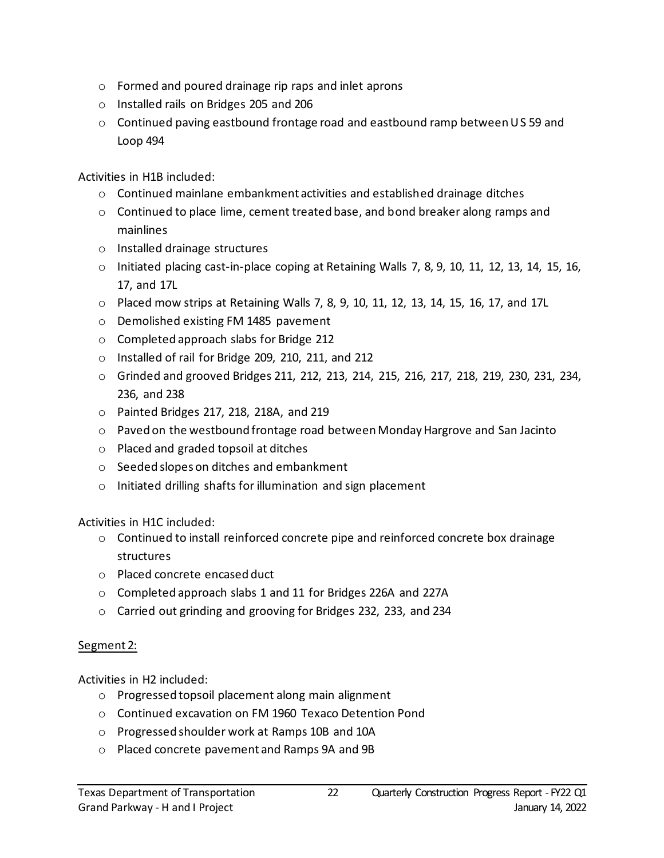- o Formed and poured drainage rip raps and inlet aprons
- o Installed rails on Bridges 205 and 206
- $\circ$  Continued paving eastbound frontage road and eastbound ramp between US 59 and Loop 494

Activities in H1B included:

- $\circ$  Continued mainlane embankment activities and established drainage ditches
- o Continued to place lime, cement treated base, and bond breaker along ramps and mainlines
- o Installed drainage structures
- o Initiated placing cast-in-place coping at Retaining Walls 7, 8, 9, 10, 11, 12, 13, 14, 15, 16, 17, and 17L
- o Placed mow strips at Retaining Walls 7, 8, 9, 10, 11, 12, 13, 14, 15, 16, 17, and 17L
- o Demolished existing FM 1485 pavement
- o Completed approach slabs for Bridge 212
- o Installed of rail for Bridge 209, 210, 211, and 212
- o Grinded and grooved Bridges 211, 212, 213, 214, 215, 216, 217, 218, 219, 230, 231, 234, 236, and 238
- o Painted Bridges 217, 218, 218A, and 219
- o Paved on the westbound frontage road between Monday Hargrove and San Jacinto
- o Placed and graded topsoil at ditches
- o Seeded slopes on ditches and embankment
- o Initiated drilling shafts for illumination and sign placement

Activities in H1C included:

- $\circ$  Continued to install reinforced concrete pipe and reinforced concrete box drainage structures
- o Placed concrete encased duct
- o Completed approach slabs 1 and 11 for Bridges 226A and 227A
- o Carried out grinding and grooving for Bridges 232, 233, and 234

#### Segment 2:

Activities in H2 included:

- o Progressed topsoil placement along main alignment
- o Continued excavation on FM 1960 Texaco Detention Pond
- o Progressed shoulder work at Ramps 10B and 10A
- o Placed concrete pavement and Ramps 9A and 9B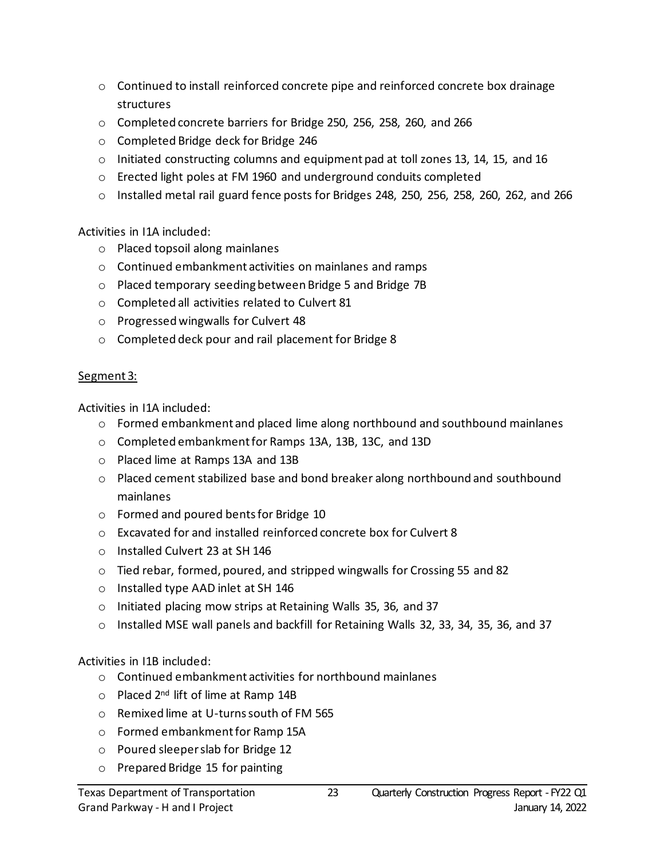- $\circ$  Continued to install reinforced concrete pipe and reinforced concrete box drainage structures
- o Completed concrete barriers for Bridge 250, 256, 258, 260, and 266
- o Completed Bridge deck for Bridge 246
- $\circ$  Initiated constructing columns and equipment pad at toll zones 13, 14, 15, and 16
- o Erected light poles at FM 1960 and underground conduits completed
- o Installed metal rail guard fence posts for Bridges 248, 250, 256, 258, 260, 262, and 266

Activities in I1A included:

- o Placed topsoil along mainlanes
- o Continued embankment activities on mainlanes and ramps
- o Placed temporary seeding between Bridge 5 and Bridge 7B
- o Completed all activities related to Culvert 81
- o Progressed wingwalls for Culvert 48
- o Completed deck pour and rail placement for Bridge 8

#### Segment 3:

Activities in I1A included:

- o Formed embankment and placed lime along northbound and southbound mainlanes
- o Completed embankment for Ramps 13A, 13B, 13C, and 13D
- o Placed lime at Ramps 13A and 13B
- o Placed cement stabilized base and bond breaker along northbound and southbound mainlanes
- o Formed and poured bents for Bridge 10
- o Excavated for and installed reinforced concrete box for Culvert 8
- o Installed Culvert 23 at SH 146
- o Tied rebar, formed, poured, and stripped wingwalls for Crossing 55 and 82
- o Installed type AAD inlet at SH 146
- o Initiated placing mow strips at Retaining Walls 35, 36, and 37
- o Installed MSE wall panels and backfill for Retaining Walls 32, 33, 34, 35, 36, and 37

Activities in I1B included:

- o Continued embankment activities for northbound mainlanes
- o Placed 2nd lift of lime at Ramp 14B
- o Remixed lime at U-turns south of FM 565
- o Formed embankment for Ramp 15A
- o Poured sleeper slab for Bridge 12
- o Prepared Bridge 15 for painting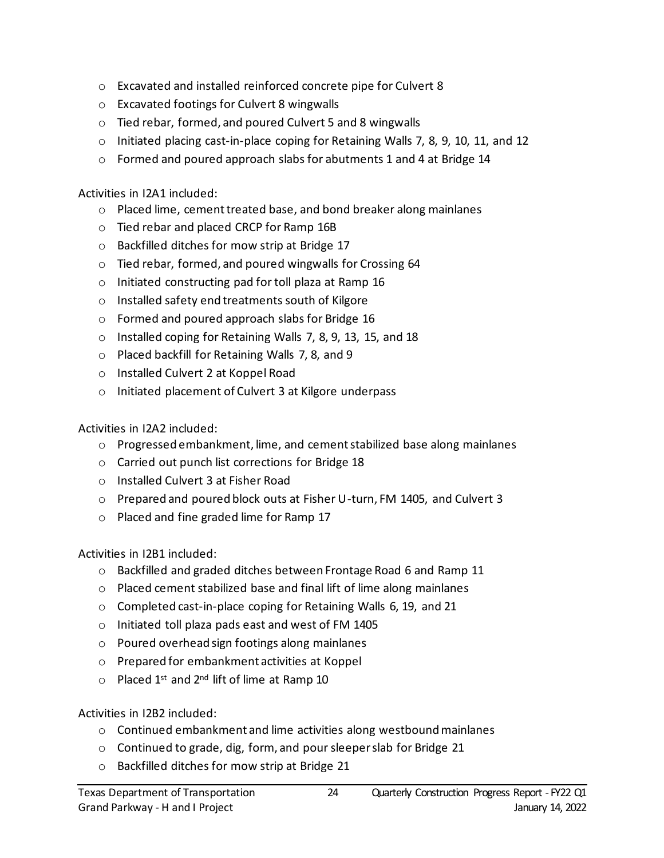- o Excavated and installed reinforced concrete pipe for Culvert 8
- o Excavated footings for Culvert 8 wingwalls
- o Tied rebar, formed, and poured Culvert 5 and 8 wingwalls
- o Initiated placing cast-in-place coping for Retaining Walls 7, 8, 9, 10, 11, and 12
- o Formed and poured approach slabs for abutments 1 and 4 at Bridge 14

Activities in I2A1 included:

- o Placed lime, cement treated base, and bond breaker along mainlanes
- o Tied rebar and placed CRCP for Ramp 16B
- o Backfilled ditches for mow strip at Bridge 17
- o Tied rebar, formed, and poured wingwalls for Crossing 64
- o Initiated constructing pad for toll plaza at Ramp 16
- o Installed safety end treatments south of Kilgore
- o Formed and poured approach slabs for Bridge 16
- o Installed coping for Retaining Walls 7, 8, 9, 13, 15, and 18
- o Placed backfill for Retaining Walls 7, 8, and 9
- o Installed Culvert 2 at Koppel Road
- o Initiated placement of Culvert 3 at Kilgore underpass

Activities in I2A2 included:

- o Progressed embankment, lime, and cement stabilized base along mainlanes
- o Carried out punch list corrections for Bridge 18
- o Installed Culvert 3 at Fisher Road
- o Prepared and poured block outs at Fisher U-turn, FM 1405, and Culvert 3
- o Placed and fine graded lime for Ramp 17

Activities in I2B1 included:

- o Backfilled and graded ditches between Frontage Road 6 and Ramp 11
- o Placed cement stabilized base and final lift of lime along mainlanes
- o Completed cast-in-place coping for Retaining Walls 6, 19, and 21
- o Initiated toll plaza pads east and west of FM 1405
- o Poured overhead sign footings along mainlanes
- o Prepared for embankment activities at Koppel
- $\circ$  Placed 1<sup>st</sup> and 2<sup>nd</sup> lift of lime at Ramp 10

Activities in I2B2 included:

- o Continued embankment and lime activities along westbound mainlanes
- o Continued to grade, dig, form, and pour sleeper slab for Bridge 21
- o Backfilled ditches for mow strip at Bridge 21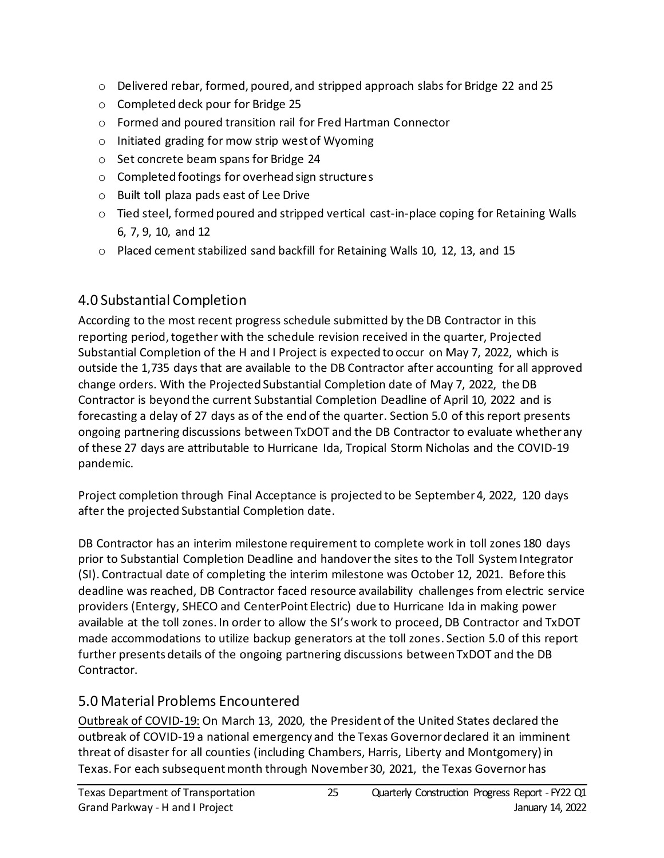- o Delivered rebar, formed, poured, and stripped approach slabs for Bridge 22 and 25
- o Completed deck pour for Bridge 25
- o Formed and poured transition rail for Fred Hartman Connector
- o Initiated grading for mow strip west of Wyoming
- o Set concrete beam spans for Bridge 24
- o Completed footings for overhead sign structures
- o Built toll plaza pads east of Lee Drive
- o Tied steel, formed poured and stripped vertical cast-in-place coping for Retaining Walls 6, 7, 9, 10, and 12
- o Placed cement stabilized sand backfill for Retaining Walls 10, 12, 13, and 15

## <span id="page-24-0"></span>4.0 Substantial Completion

According to the most recent progress schedule submitted by the DB Contractor in this reporting period, together with the schedule revision received in the quarter, Projected Substantial Completion of the H and I Project is expected to occur on May 7, 2022, which is outside the 1,735 days that are available to the DB Contractor after accounting for all approved change orders. With the Projected Substantial Completion date of May 7, 2022, the DB Contractor is beyond the current Substantial Completion Deadline of April 10, 2022 and is forecasting a delay of 27 days as of the end of the quarter. Section 5.0 of this report presents ongoing partnering discussions between TxDOT and the DB Contractor to evaluate whether any of these 27 days are attributable to Hurricane Ida, Tropical Storm Nicholas and the COVID-19 pandemic.

Project completion through Final Acceptance is projected to be September 4, 2022, 120 days after the projected Substantial Completion date.

DB Contractor has an interim milestone requirement to complete work in toll zones 180 days prior to Substantial Completion Deadline and handover the sites to the Toll System Integrator (SI). Contractual date of completing the interim milestone was October 12, 2021. Before this deadline was reached, DB Contractor faced resource availability challenges from electric service providers (Entergy, SHECO and CenterPoint Electric) due to Hurricane Ida in making power available at the toll zones. In order to allow the SI's work to proceed, DB Contractor and TxDOT made accommodations to utilize backup generators at the toll zones. Section 5.0 of this report further presents details of the ongoing partnering discussions between TxDOT and the DB Contractor.

## <span id="page-24-1"></span>5.0 Material Problems Encountered

Outbreak of COVID-19: On March 13, 2020, the President of the United States declared the outbreak of COVID-19 a national emergency and the Texas Governor declared it an imminent threat of disaster for all counties (including Chambers, Harris, Liberty and Montgomery) in Texas. For each subsequent month through November 30, 2021, the Texas Governor has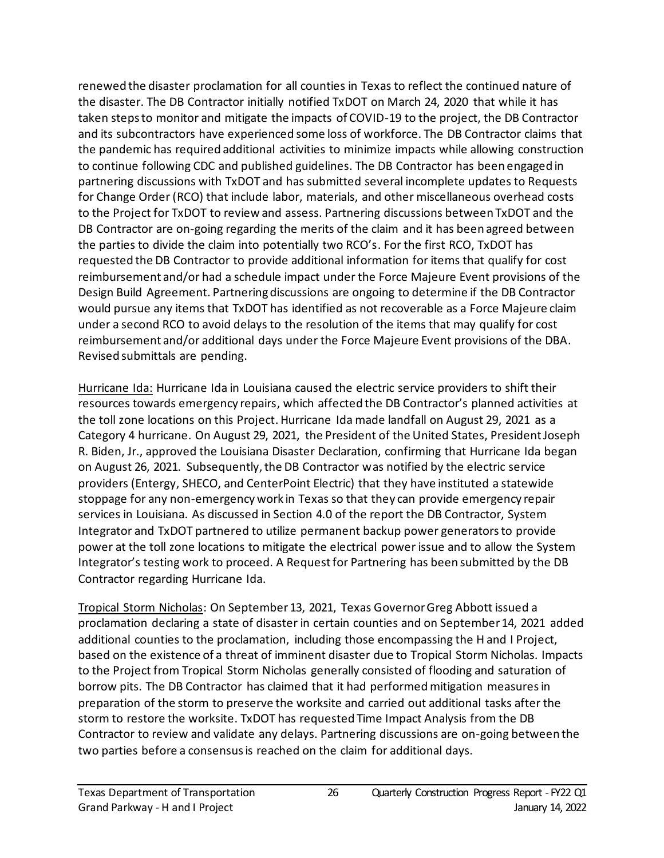renewed the disaster proclamation for all counties in Texas to reflect the continued nature of the disaster. The DB Contractor initially notified TxDOT on March 24, 2020 that while it has taken steps to monitor and mitigate the impacts of COVID-19 to the project, the DB Contractor and its subcontractors have experienced some loss of workforce. The DB Contractor claims that the pandemic has required additional activities to minimize impacts while allowing construction to continue following CDC and published guidelines. The DB Contractor has been engaged in partnering discussions with TxDOT and has submitted several incomplete updates to Requests for Change Order (RCO) that include labor, materials, and other miscellaneous overhead costs to the Project for TxDOT to review and assess. Partnering discussions between TxDOT and the DB Contractor are on-going regarding the merits of the claim and it has been agreed between the parties to divide the claim into potentially two RCO's. For the first RCO, TxDOT has requested the DB Contractor to provide additional information for items that qualify for cost reimbursement and/or had a schedule impact under the Force Majeure Event provisions of the Design Build Agreement. Partnering discussions are ongoing to determine if the DB Contractor would pursue any items that TxDOT has identified as not recoverable as a Force Majeure claim under a second RCO to avoid delays to the resolution of the items that may qualify for cost reimbursement and/or additional days under the Force Majeure Event provisions of the DBA. Revised submittals are pending.

Hurricane Ida: Hurricane Ida in Louisiana caused the electric service providers to shift their resources towards emergency repairs, which affected the DB Contractor's planned activities at the toll zone locations on this Project. Hurricane Ida made landfall on August 29, 2021 as a Category 4 hurricane. On August 29, 2021, the President of the United States, President Joseph R. Biden, Jr., approved the Louisiana Disaster Declaration, confirming that Hurricane Ida began on August 26, 2021. Subsequently, the DB Contractor was notified by the electric service providers (Entergy, SHECO, and CenterPoint Electric) that they have instituted a statewide stoppage for any non-emergency work in Texas so that they can provide emergency repair services in Louisiana. As discussed in Section 4.0 of the report the DB Contractor, System Integrator and TxDOT partnered to utilize permanent backup power generators to provide power at the toll zone locations to mitigate the electrical power issue and to allow the System Integrator's testing work to proceed. A Request for Partnering has been submitted by the DB Contractor regarding Hurricane Ida.

Tropical Storm Nicholas: On September 13, 2021, Texas Governor Greg Abbott issued a proclamation declaring a state of disaster in certain counties and on September 14, 2021 added additional counties to the proclamation, including those encompassing the H and I Project, based on the existence of a threat of imminent disaster due to Tropical Storm Nicholas. Impacts to the Project from Tropical Storm Nicholas generally consisted of flooding and saturation of borrow pits. The DB Contractor has claimed that it had performed mitigation measures in preparation of the storm to preserve the worksite and carried out additional tasks after the storm to restore the worksite. TxDOT has requested Time Impact Analysis from the DB Contractor to review and validate any delays. Partnering discussions are on-going between the two parties before a consensus is reached on the claim for additional days.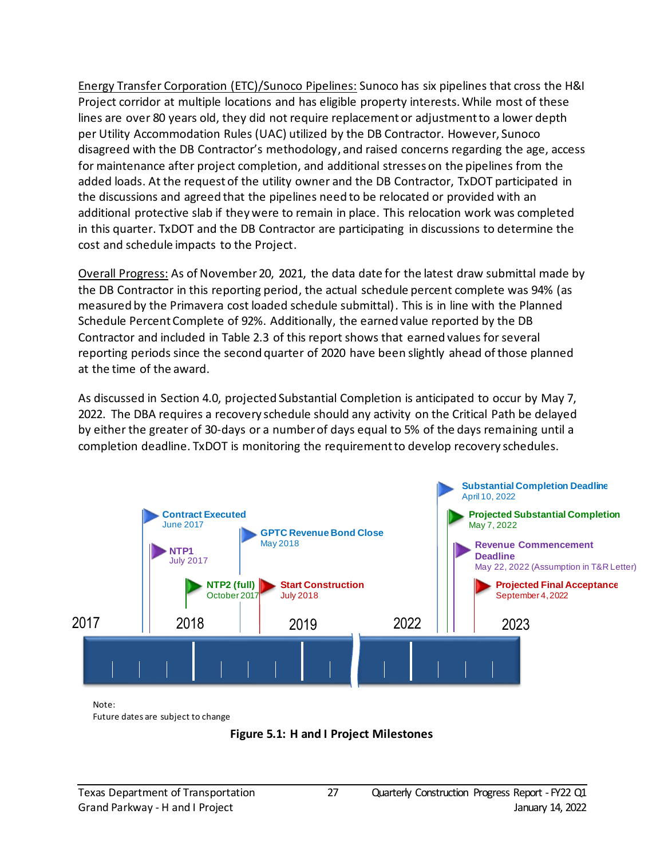Energy Transfer Corporation (ETC)/Sunoco Pipelines: Sunoco has six pipelines that cross the H&I Project corridor at multiple locations and has eligible property interests. While most of these lines are over 80 years old, they did not require replacement or adjustment to a lower depth per Utility Accommodation Rules (UAC) utilized by the DB Contractor. However, Sunoco disagreed with the DB Contractor's methodology, and raised concerns regarding the age, access for maintenance after project completion, and additional stresses on the pipelines from the added loads. At the request of the utility owner and the DB Contractor, TxDOT participated in the discussions and agreed that the pipelines need to be relocated or provided with an additional protective slab if they were to remain in place. This relocation work was completed in this quarter. TxDOT and the DB Contractor are participating in discussions to determine the cost and schedule impacts to the Project.

Overall Progress: As of November 20, 2021, the data date for the latest draw submittal made by the DB Contractor in this reporting period, the actual schedule percent complete was 94% (as measured by the Primavera cost loaded schedule submittal). This is in line with the Planned Schedule Percent Complete of 92%. Additionally, the earned value reported by the DB Contractor and included in Table 2.3 of this report shows that earned values for several reporting periods since the second quarter of 2020 have been slightly ahead of those planned at the time of the award.

As discussed in Section 4.0, projected Substantial Completion is anticipated to occur by May 7, 2022. The DBA requires a recovery schedule should any activity on the Critical Path be delayed by either the greater of 30-days or a number of days equal to 5% of the days remaining until a completion deadline. TxDOT is monitoring the requirement to develop recovery schedules.



<span id="page-26-0"></span>Note: Future dates are subject to change

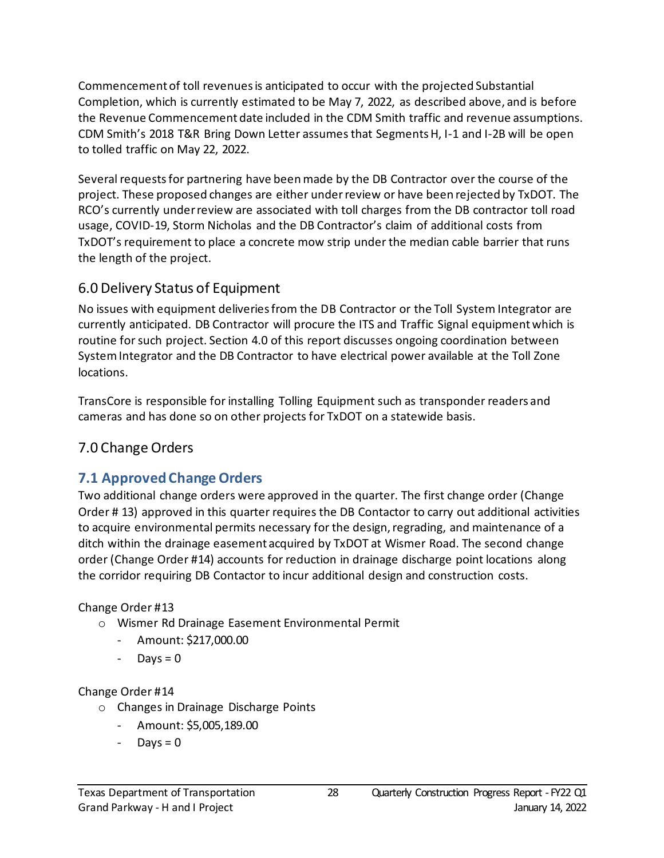Commencement of toll revenues is anticipated to occur with the projected Substantial Completion, which is currently estimated to be May 7, 2022, as described above, and is before the Revenue Commencement date included in the CDM Smith traffic and revenue assumptions. CDM Smith's 2018 T&R Bring Down Letter assumes that Segments H, I-1 and I-2B will be open to tolled traffic on May 22, 2022.

Several requests for partnering have been made by the DB Contractor over the course of the project. These proposed changes are either underreview or have been rejected by TxDOT. The RCO's currently under review are associated with toll charges from the DB contractor toll road usage, COVID-19, Storm Nicholas and the DB Contractor's claim of additional costs from TxDOT's requirement to place a concrete mow strip under the median cable barrier that runs the length of the project.

#### <span id="page-27-0"></span>6.0 Delivery Status of Equipment

No issues with equipment deliveries from the DB Contractor or the Toll System Integrator are currently anticipated. DB Contractor will procure the ITS and Traffic Signal equipment which is routine for such project. Section 4.0 of this report discusses ongoing coordination between System Integrator and the DB Contractor to have electrical power available at the Toll Zone locations.

TransCore is responsible for installing Tolling Equipment such as transponder readers and cameras and has done so on other projects for TxDOT on a statewide basis.

### <span id="page-27-1"></span>7.0 Change Orders

### <span id="page-27-2"></span>**7.1 Approved Change Orders**

Two additional change orders were approved in the quarter. The first change order (Change Order # 13) approved in this quarter requires the DB Contactor to carry out additional activities to acquire environmental permits necessary for the design, regrading, and maintenance of a ditch within the drainage easement acquired by TxDOT at Wismer Road. The second change order (Change Order #14) accounts for reduction in drainage discharge point locations along the corridor requiring DB Contactor to incur additional design and construction costs.

#### Change Order #13

- o Wismer Rd Drainage Easement Environmental Permit
	- Amount: \$217,000.00
	- Days  $= 0$

#### Change Order #14

- o Changes in Drainage Discharge Points
	- Amount: \$5,005,189.00
	- $Days = 0$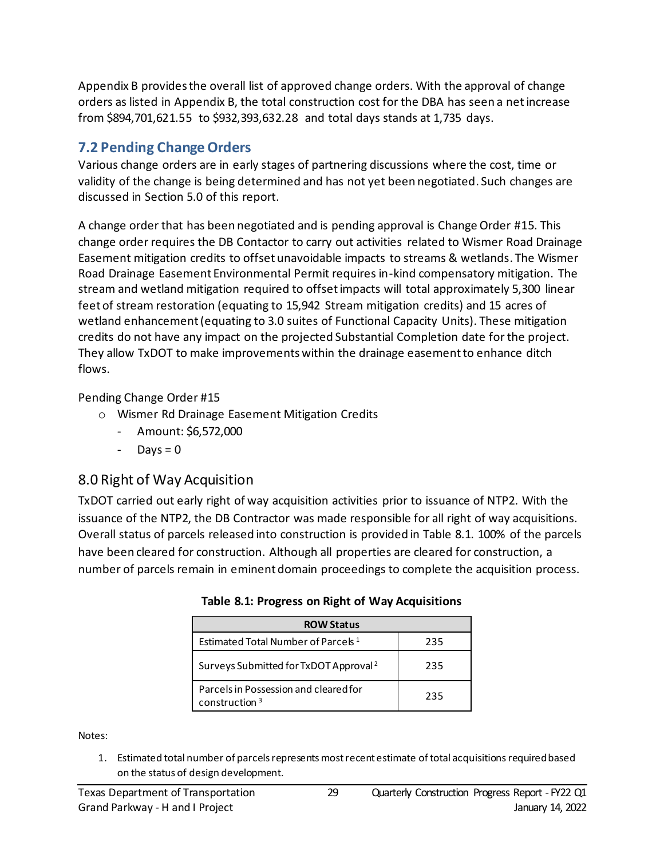Appendix B provides the overall list of approved change orders. With the approval of change orders as listed in Appendix B, the total construction cost for the DBA has seen a net increase from \$894,701,621.55 to \$932,393,632.28 and total days stands at 1,735 days.

### <span id="page-28-0"></span>**7.2 Pending Change Orders**

Various change orders are in early stages of partnering discussions where the cost, time or validity of the change is being determined and has not yet been negotiated. Such changes are discussed in Section 5.0 of this report.

A change order that has been negotiated and is pending approval is Change Order #15. This change order requires the DB Contactor to carry out activities related to Wismer Road Drainage Easement mitigation credits to offset unavoidable impacts to streams & wetlands. The Wismer Road Drainage Easement Environmental Permit requires in-kind compensatory mitigation. The stream and wetland mitigation required to offset impacts will total approximately 5,300 linear feet of stream restoration (equating to 15,942 Stream mitigation credits) and 15 acres of wetland enhancement (equating to 3.0 suites of Functional Capacity Units). These mitigation credits do not have any impact on the projected Substantial Completion date for the project. They allow TxDOT to make improvements within the drainage easement to enhance ditch flows.

Pending Change Order #15

- o Wismer Rd Drainage Easement Mitigation Credits
	- Amount: \$6,572,000
	- $-$  Days = 0

### <span id="page-28-1"></span>8.0 Right of Way Acquisition

<span id="page-28-2"></span>TxDOT carried out early right of way acquisition activities prior to issuance of NTP2. With the issuance of the NTP2, the DB Contractor was made responsible for all right of way acquisitions. Overall status of parcels released into construction is provided in Table 8.1. 100% of the parcels have been cleared for construction. Although all properties are cleared for construction, a number of parcels remain in eminent domain proceedings to complete the acquisition process.

| <b>ROW Status</b>                                         |     |
|-----------------------------------------------------------|-----|
| Estimated Total Number of Parcels <sup>1</sup>            | 235 |
| Surveys Submitted for TxDOT Approval <sup>2</sup>         | 235 |
| Parcels in Possession and cleared for<br>construction $3$ | 235 |

|  | Table 8.1: Progress on Right of Way Acquisitions |  |  |  |
|--|--------------------------------------------------|--|--|--|
|  |                                                  |  |  |  |

Notes:

1. Estimated total number of parcels represents most recent estimate of total acquisitions required based on the status of design development.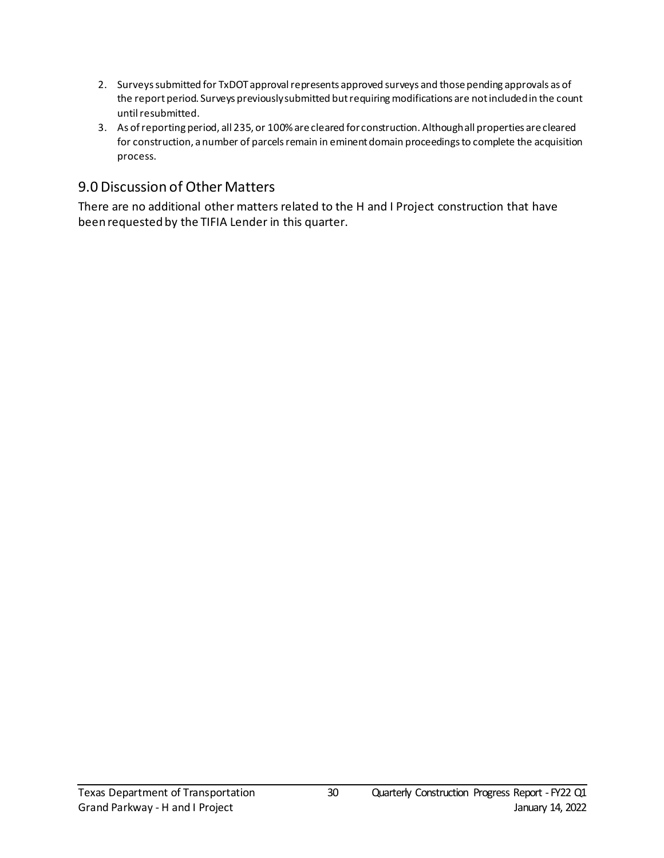- 2. Surveys submitted for TxDOT approval represents approved surveys and those pending approvals as of the report period. Surveys previously submitted but requiring modifications are not included in the count until resubmitted.
- 3. As of reporting period, all 235, or 100% are cleared for construction. Although all properties are cleared for construction, a number of parcels remain in eminent domain proceedings to complete the acquisition process.

#### <span id="page-29-0"></span>9.0 Discussion of Other Matters

There are no additional other matters related to the H and I Project construction that have been requested by the TIFIA Lender in this quarter.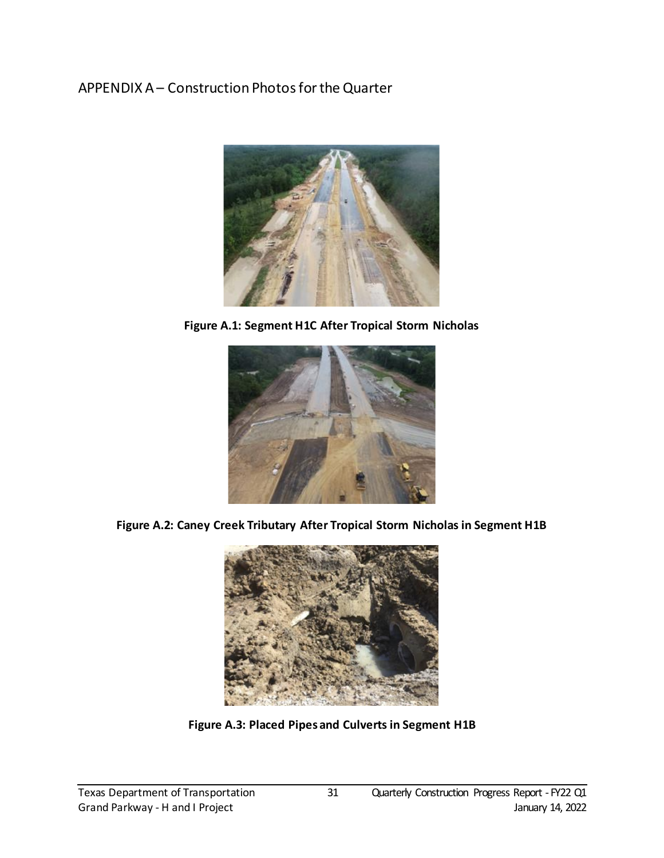### <span id="page-30-0"></span>APPENDIX A – Construction Photos for the Quarter



**Figure A.1: Segment H1C After Tropical Storm Nicholas**

<span id="page-30-1"></span>

<span id="page-30-3"></span><span id="page-30-2"></span>**Figure A.2: Caney Creek Tributary After Tropical Storm Nicholas in Segment H1B**



**Figure A.3: Placed Pipes and Culverts in Segment H1B**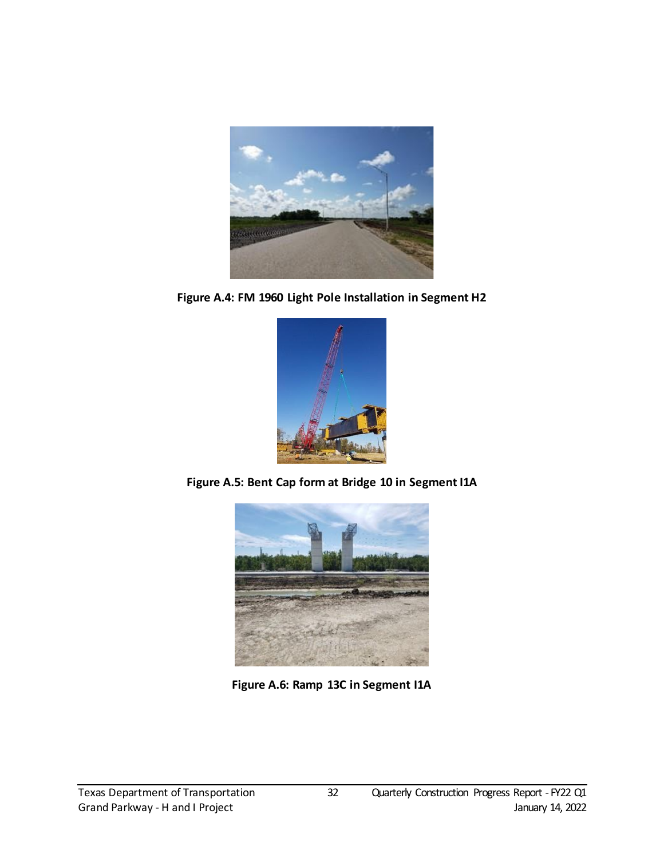

**Figure A.4: FM 1960 Light Pole Installation in Segment H2**

<span id="page-31-0"></span>

<span id="page-31-2"></span><span id="page-31-1"></span>**Figure A.5: Bent Cap form at Bridge 10 in Segment I1A**



**Figure A.6: Ramp 13C in Segment I1A**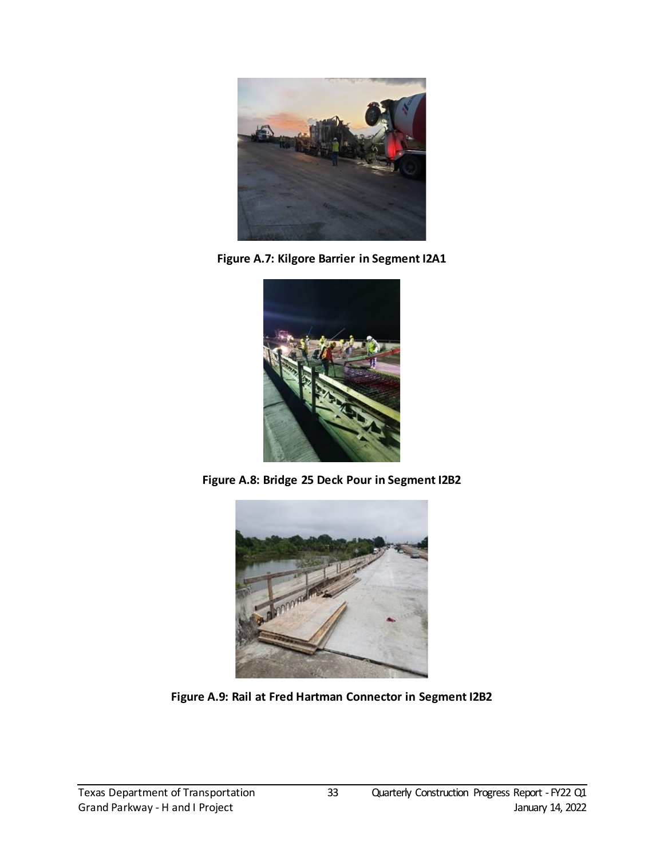

**Figure A.7: Kilgore Barrier in Segment I2A1**

<span id="page-32-0"></span>

**Figure A.8: Bridge 25 Deck Pour in Segment I2B2**

<span id="page-32-2"></span><span id="page-32-1"></span>

**Figure A.9: Rail at Fred Hartman Connector in Segment I2B2**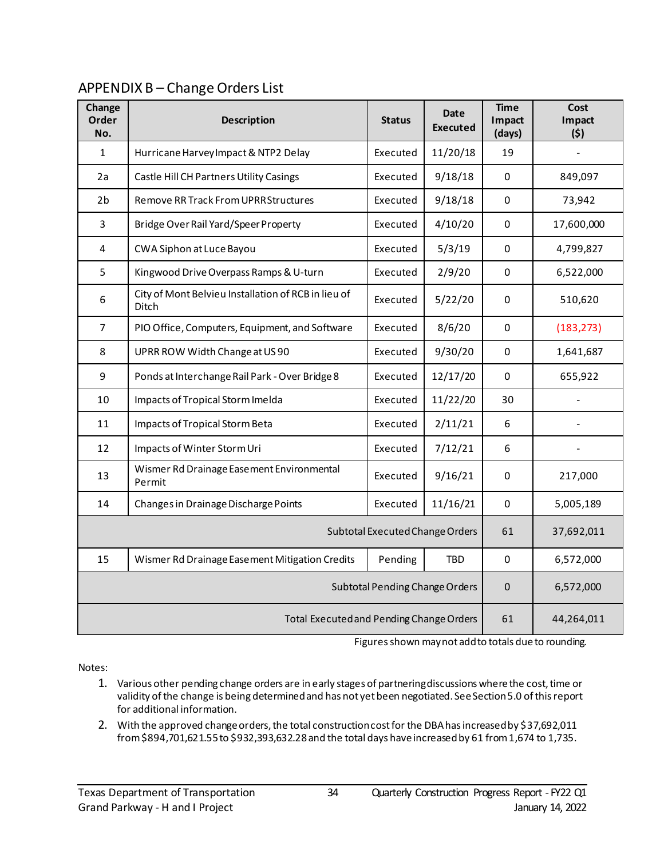### <span id="page-33-0"></span>APPENDIX B – Change Orders List

| Change<br>Order<br>No. | <b>Description</b>                                                  | <b>Status</b>                  | <b>Date</b><br><b>Executed</b> | <b>Time</b><br>Impact<br>(days) | Cost<br>Impact<br>(5) |
|------------------------|---------------------------------------------------------------------|--------------------------------|--------------------------------|---------------------------------|-----------------------|
| 1                      | Hurricane Harvey Impact & NTP2 Delay                                | Executed                       | 11/20/18                       | 19                              |                       |
| 2a                     | Castle Hill CH Partners Utility Casings                             | Executed                       | 9/18/18                        | $\mathbf 0$                     | 849,097               |
| 2 <sub>b</sub>         | <b>Remove RR Track From UPRR Structures</b>                         | Executed                       | 9/18/18                        | 0                               | 73,942                |
| $\overline{3}$         | Bridge Over Rail Yard/Speer Property                                | Executed                       | 4/10/20                        | $\pmb{0}$                       | 17,600,000            |
| 4                      | CWA Siphon at Luce Bayou                                            | Executed                       | 5/3/19                         | 0                               | 4,799,827             |
| 5                      | Kingwood Drive Overpass Ramps & U-turn                              | Executed                       | 2/9/20                         | 0                               | 6,522,000             |
| 6                      | City of Mont Belvieu Installation of RCB in lieu of<br><b>Ditch</b> | Executed                       | 5/22/20                        | 0                               | 510,620               |
| $\overline{7}$         | PIO Office, Computers, Equipment, and Software                      | Executed                       | 8/6/20                         | $\pmb{0}$                       | (183, 273)            |
| 8                      | UPRR ROW Width Change at US 90                                      | Executed                       | 9/30/20                        | $\pmb{0}$                       | 1,641,687             |
| 9                      | Ponds at Interchange Rail Park - Over Bridge 8                      | Executed                       | 12/17/20                       | $\mathbf 0$                     | 655,922               |
| 10                     | Impacts of Tropical Storm Imelda                                    | Executed                       | 11/22/20                       | 30                              |                       |
| 11                     | Impacts of Tropical Storm Beta                                      | Executed                       | 2/11/21                        | 6                               |                       |
| 12                     | Impacts of Winter Storm Uri                                         | Executed                       | 7/12/21                        | 6                               |                       |
| 13                     | Wismer Rd Drainage Easement Environmental<br>Permit                 | Executed                       | 9/16/21                        | 0                               | 217,000               |
| 14                     | Changes in Drainage Discharge Points                                | Executed                       | 11/16/21                       | $\Omega$                        | 5,005,189             |
|                        | Subtotal Executed Change Orders                                     | 61                             | 37,692,011                     |                                 |                       |
| 15                     | Wismer Rd Drainage Easement Mitigation Credits                      | Pending                        | <b>TBD</b>                     | $\mathbf 0$                     | 6,572,000             |
|                        |                                                                     | Subtotal Pending Change Orders | $\mathbf{0}$                   | 6,572,000                       |                       |
|                        | Total Executed and Pending Change Orders                            | 61                             | 44,264,011                     |                                 |                       |

Figures shown may not add to totals due to rounding.

Notes:

- 1. Various other pending change orders are in early stages of partnering discussions where the cost, time or validity of the change is being determined and has not yet been negotiated. See Section 5.0 of this report for additional information.
- 2. With the approved change orders, the total construction cost for the DBA has increased by \$37,692,011 from \$894,701,621.55 to \$932,393,632.28and the total days have increased by 61 from 1,674 to 1,735.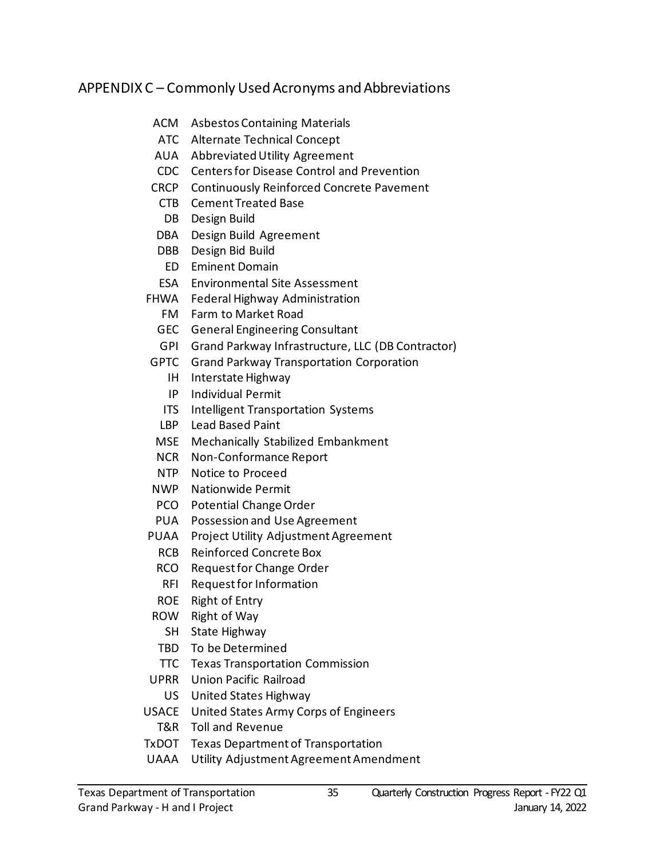#### <span id="page-34-0"></span>APPENDIX C – Commonly Used Acronyms and Abbreviations

- ACM Asbestos Containing Materials
- ATC Alternate Technical Concept
- AUA Abbreviated Utility Agreement
- CDC Centers for Disease Control and Prevention
- CRCP Continuously Reinforced Concrete Pavement
	- CTB Cement Treated Base
	- DB Design Build
- DBA Design Build Agreement
- DBB Design Bid Build
- ED Eminent Domain
- ESA Environmental Site Assessment
- FHWA Federal Highway Administration
	- FM Farm to Market Road
	- GEC General Engineering Consultant
	- GPI Grand Parkway Infrastructure, LLC (DB Contractor)
- GPTC Grand Parkway Transportation Corporation
	- IH Interstate Highway
	- IP Individual Permit
	- ITS Intelligent Transportation Systems
	- LBP Lead Based Paint
- MSE Mechanically Stabilized Embankment
- NCR Non-Conformance Report
- NTP Notice to Proceed
- NWP Nationwide Permit
- PCO Potential Change Order
- PUA Possession and Use Agreement
- PUAA Project Utility Adjustment Agreement
	- RCB Reinforced Concrete Box
	- RCO Request for Change Order
	- RFI Request for Information
	- ROE Right of Entry
- ROW Right of Way
	- SH State Highway
- TBD To be Determined
- TTC Texas Transportation Commission
- UPRR Union Pacific Railroad
- US United States Highway
- USACE United States Army Corps of Engineers
	- T&R Toll and Revenue
- TxDOT Texas Department of Transportation
- UAAA Utility Adjustment Agreement Amendment